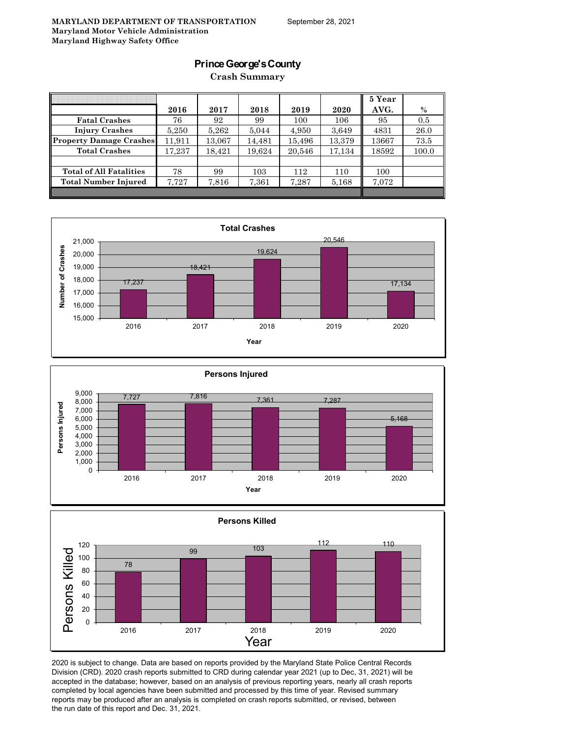### **Prince George's County**

**Crash Summary**

|                                |        |        |        |        |        | 5 Year |       |
|--------------------------------|--------|--------|--------|--------|--------|--------|-------|
|                                | 2016   | 2017   | 2018   | 2019   | 2020   | AVG.   | $\%$  |
| <b>Fatal Crashes</b>           | 76     | 92     | 99     | 100    | 106    | 95     | 0.5   |
| <b>Injury Crashes</b>          | 5,250  | 5,262  | 5,044  | 4,950  | 3,649  | 4831   | 26.0  |
| <b>Property Damage Crashes</b> | 11.911 | 13.067 | 14.481 | 15,496 | 13,379 | 13667  | 73.5  |
| <b>Total Crashes</b>           | 17.237 | 18.421 | 19,624 | 20,546 | 17,134 | 18592  | 100.0 |
|                                |        |        |        |        |        |        |       |
| <b>Total of All Fatalities</b> | 78     | 99     | 103    | 112    | 110    | 100    |       |
| Total Number Injured           | 7,727  | 7,816  | 7,361  | 7,287  | 5,168  | 7,072  |       |
|                                |        |        |        |        |        |        |       |







2020 is subject to change. Data are based on reports provided by the Maryland State Police Central Records Division (CRD). 2020 crash reports submitted to CRD during calendar year 2021 (up to Dec, 31, 2021) will be accepted in the database; however, based on an analysis of previous reporting years, nearly all crash reports completed by local agencies have been submitted and processed by this time of year. Revised summary reports may be produced after an analysis is completed on crash reports submitted, or revised, between the run date of this report and Dec. 31, 2021.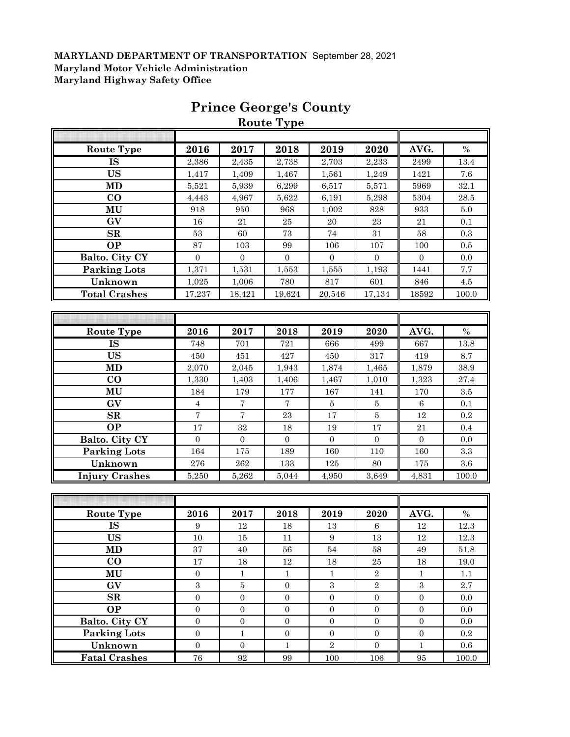|                       |                  |                   | <b>Route Type</b> |                  |                  |                  |         |
|-----------------------|------------------|-------------------|-------------------|------------------|------------------|------------------|---------|
|                       |                  |                   |                   |                  |                  |                  |         |
| <b>Route Type</b>     | 2016             | 2017              | 2018              | 2019             | 2020             | AVG.             | $\%$    |
| <b>IS</b>             | 2,386            | 2,435             | 2,738             | 2,703            | 2,233            | 2499             | 13.4    |
| <b>US</b>             | 1,417            | 1,409             | 1,467             | 1,561            | 1,249            | 1421             | 7.6     |
| MD                    | 5,521            | 5,939             | 6,299             | 6,517            | 5,571            | 5969             | 32.1    |
| $\bf CO$              | 4,443            | 4,967             | 5,622             | 6,191            | 5,298            | 5304             | 28.5    |
| MU                    | 918              | 950               | 968               | 1,002            | 828              | 933              | $5.0\,$ |
| GV                    | 16               | 21                | 25                | 20               | 23               | 21               | 0.1     |
| SR                    | 53               | 60                | 73                | 74               | 31               | 58               | 0.3     |
| <b>OP</b>             | 87               | 103               | 99                | 106              | 107              | 100              | 0.5     |
| Balto. City CY        | $\mathbf{0}$     | $\boldsymbol{0}$  | $\boldsymbol{0}$  | $\overline{0}$   | $\mathbf{0}$     | $\mathbf{0}$     | 0.0     |
| <b>Parking Lots</b>   | 1,371            | 1,531             | 1,553             | 1,555            | 1,193            | 1441             | 7.7     |
| Unknown               | 1,025            | 1,006             | 780               | 817              | 601              | 846              | $4.5\,$ |
| <b>Total Crashes</b>  | 17,237           | 18,421            | 19,624            | 20,546           | 17,134           | 18592            | 100.0   |
|                       |                  |                   |                   |                  |                  |                  |         |
|                       |                  |                   |                   |                  |                  |                  |         |
| <b>Route Type</b>     | 2016             | 2017              | 2018              | 2019             | 2020             | AVG.             | $\%$    |
| <b>IS</b>             | 748              | 701               | 721               | 666              | 499              | 667              | 13.8    |
| <b>US</b>             | 450              | 451               | 427               | 450              | 317              | 419              | 8.7     |
| <b>MD</b>             | 2,070            | 2,045             | 1,943             | 1,874            | 1,465            | 1,879            | 38.9    |
| $\bf CO$              | 1,330            | 1,403             | 1,406             | 1,467            | 1,010            | 1,323            | 27.4    |
| MU                    | 184              | 179               | 177               | 167              | 141              | 170              | 3.5     |
| GV                    | $\overline{4}$   | $\overline{7}$    | $\overline{7}$    | 5                | 5                | $\,6\,$          | $0.1\,$ |
| SR                    | $\overline{7}$   | $\overline{7}$    | 23                | 17               | $\bf 5$          | 12               | 0.2     |
| <b>OP</b>             | 17               | 32                | 18                | 19               | $17\,$           | 21               | 0.4     |
| Balto. City CY        | $\mathbf{0}$     | $\mathbf{0}$      | $\boldsymbol{0}$  | $\mathbf{0}$     | $\boldsymbol{0}$ | $\boldsymbol{0}$ | 0.0     |
| <b>Parking Lots</b>   | 164              | 175               | 189               | 160              | 110              | 160              | $\!.3$  |
| Unknown               | $\bf 276$        | ${\bf 262}$       | 133               | $125\,$          | 80               | 175              | $3.6\,$ |
| <b>Injury Crashes</b> | 5,250            | 5,262             | 5,044             | 4,950            | 3,649            | 4,831            | 100.0   |
|                       |                  |                   |                   |                  |                  |                  |         |
|                       |                  |                   |                   |                  |                  |                  |         |
| Route Type            | 2016             | 2017              | 2018              | 2019             | 2020             | AVG.             | $\%$    |
| <b>IS</b>             | 9                | 12                | 18                | 13               | $\,6\,$          | $12\,$           | 12.3    |
| <b>US</b>             | 10               | $15\,$            | Ħ                 | 9                | 13               | 12               | 12.3    |
| MD                    | 37               | 40                | 56                | 54               | 58               | 49               | 51.8    |
| $\bf CO$              | $17\,$           | $18\,$            | $12\,$            | 18               | $\rm 25$         | 18               | 19.0    |
| MU                    | $\boldsymbol{0}$ | $1\,$             | $\mathbf 1$       | $\,1$            | $\sqrt{2}$       | $\mathbf{1}$     | 1.1     |
| GV                    | 3                | $\bf 5$           | $\boldsymbol{0}$  | 3                | $\sqrt{2}$       | $\,3$            | $2.7\,$ |
| SR                    | $\boldsymbol{0}$ | $\boldsymbol{0}$  | $\boldsymbol{0}$  | $\boldsymbol{0}$ | $\mathbf{0}$     | $\boldsymbol{0}$ | 0.0     |
| <b>OP</b>             | $\boldsymbol{0}$ | $\boldsymbol{0}$  | $\boldsymbol{0}$  | $\boldsymbol{0}$ | $\boldsymbol{0}$ | $\boldsymbol{0}$ | 0.0     |
| Balto. City CY        | $\boldsymbol{0}$ | $\boldsymbol{0}$  | $\overline{0}$    | $\boldsymbol{0}$ | $\boldsymbol{0}$ | $\boldsymbol{0}$ | 0.0     |
| <b>Parking Lots</b>   | $\boldsymbol{0}$ | $\mathbf{1}$      | $\boldsymbol{0}$  | $\mathbf{0}$     | $\boldsymbol{0}$ | $\boldsymbol{0}$ | $0.2\,$ |
| Unknown               | $\boldsymbol{0}$ | $\boldsymbol{0}$  | $\,1$             | $\overline{2}$   | $\mathbf{0}$     | $\mathbf{1}$     | $0.6\,$ |
| <b>Fatal Crashes</b>  | ${\bf 76}$       | $\boldsymbol{92}$ | 99                | 100              |                  | $\bf 95$         | 100.0   |
|                       |                  |                   |                   |                  | 106              |                  |         |

# **Prince George's County**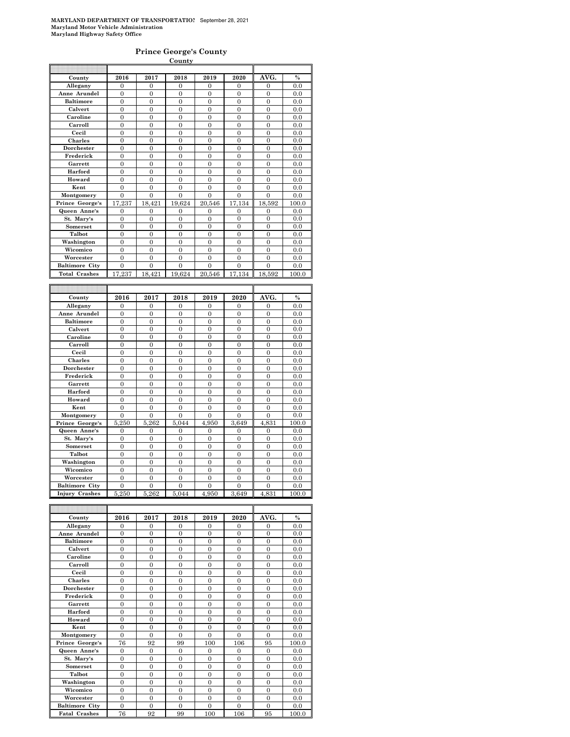#### **Prince George's County**

|                       |                |                  | County           |                |                  |                  |               |
|-----------------------|----------------|------------------|------------------|----------------|------------------|------------------|---------------|
|                       |                |                  |                  |                |                  |                  |               |
| County                | 2016           | 2017             | 2018             | 2019           | 2020             | AVG.             | $\frac{0}{0}$ |
| Allegany              | $\overline{0}$ | $\overline{0}$   | $\mathbf{0}$     | $\overline{0}$ | $\mathbf{0}$     | $\overline{0}$   | 0.0           |
| Anne Arundel          | $\overline{0}$ | $\overline{0}$   | $\overline{0}$   | $\overline{0}$ | $\overline{0}$   | $\theta$         | 0.0           |
| <b>Baltimore</b>      | $\overline{0}$ | $\theta$         | $\overline{0}$   | $\overline{0}$ | $\theta$         | $\overline{0}$   | 0.0           |
| Calvert               | 0              | $\overline{0}$   | $\overline{0}$   | $\overline{0}$ | $\overline{0}$   | $\overline{0}$   | 0.0           |
| Caroline              | $\overline{0}$ | $\overline{0}$   | $\overline{0}$   | $\overline{0}$ | $\overline{0}$   | $\overline{0}$   | 0.0           |
| Carroll               | $\overline{0}$ | $\overline{0}$   | $\overline{0}$   | $\overline{0}$ | $\overline{0}$   | $\overline{0}$   | 0.0           |
| Cecil                 | 0              | $\mathbf{0}$     | $\boldsymbol{0}$ | $\mathbf{0}$   | $\mathbf{0}$     | $\boldsymbol{0}$ | 0.0           |
| <b>Charles</b>        | $\overline{0}$ | $\overline{0}$   | $\mathbf{0}$     | $\overline{0}$ | $\overline{0}$   | $\mathbf{0}$     | 0.0           |
| Dorchester            | $\overline{0}$ | $\overline{0}$   | $\theta$         | $\theta$       | $\theta$         | $\theta$         | 0.0           |
| Frederick             | $\overline{0}$ | $\overline{0}$   | $\overline{0}$   | $\overline{0}$ | $\overline{0}$   | $\overline{0}$   | 0.0           |
| Garrett               | 0              | $\overline{0}$   | $\overline{0}$   | $\overline{0}$ | $\overline{0}$   | $\overline{0}$   | 0.0           |
| Harford               | $\overline{0}$ | $\overline{0}$   | $\overline{0}$   | $\overline{0}$ | $\overline{0}$   | $\overline{0}$   | 0.0           |
| Howard                | $\overline{0}$ | $\overline{0}$   | $\overline{0}$   | $\overline{0}$ | $\overline{0}$   | $\overline{0}$   | 0.0           |
| Kent                  | 0              | $\mathbf{0}$     | $\mathbf{0}$     | $\mathbf{0}$   | $\mathbf{0}$     | $\mathbf{0}$     | 0.0           |
| Montgomery            | $\overline{0}$ | $\overline{0}$   | $\overline{0}$   | $\overline{0}$ | $\overline{0}$   | $\overline{0}$   | 0.0           |
| Prince George's       | 17,237         | 18,421           | 19,624           | 20,546         | 17,134           | 18,592           | 100.0         |
| Queen Anne's          | 0              | $\overline{0}$   | $\overline{0}$   | $\overline{0}$ | $\overline{0}$   | $\overline{0}$   | 0.0           |
| St. Mary's            | 0              | $\overline{0}$   | $\overline{0}$   | $\overline{0}$ | $\overline{0}$   | $\overline{0}$   | 0.0           |
| Somerset              | 0              | $\overline{0}$   | $\overline{0}$   | $\overline{0}$ | $\mathbf{0}$     | $\overline{0}$   | 0.0           |
| Talbot                | 0              | $\overline{0}$   | $\boldsymbol{0}$ | $\mathbf{0}$   | $\mathbf{0}$     | $\mathbf{0}$     | $_{0.0}$      |
| Washington            | 0              | $\overline{0}$   | $\mathbf{0}$     | $\overline{0}$ | $\mathbf{0}$     | $\mathbf{0}$     | 0.0           |
| Wicomico              | $\overline{0}$ | $\overline{0}$   | $\overline{0}$   | $\overline{0}$ | $\overline{0}$   | $\overline{0}$   | 0.0           |
| Worcester             | $\overline{0}$ | $\overline{0}$   | $\overline{0}$   | $\overline{0}$ | $\overline{0}$   | $\overline{0}$   | 0.0           |
| <b>Baltimore City</b> | $\overline{0}$ | $\overline{0}$   | $\overline{0}$   | $\overline{0}$ | $\overline{0}$   | $\overline{0}$   | 0.0           |
| <b>Total Crashes</b>  | 17,237         | 18,421           | 19,624           | 20,546         | 17,134           | 18,592           | 100.0         |
|                       |                |                  |                  |                |                  |                  |               |
|                       |                |                  |                  |                |                  |                  |               |
| County                | 2016           | 2017             | 2018             | 2019           | 2020             | AVG.             | $\%$          |
|                       |                |                  |                  |                |                  |                  |               |
|                       |                |                  |                  |                |                  |                  |               |
| Allegany              | 0              | 0                | $\mathbf{0}$     | $\overline{0}$ | 0                | 0                | 0.0           |
| Anne Arundel          | $\overline{0}$ | $\overline{0}$   | $\overline{0}$   | $\overline{0}$ | $\overline{0}$   | $\overline{0}$   | 0.0           |
| <b>Baltimore</b>      | $\overline{0}$ | $\overline{0}$   | $\overline{0}$   | $\overline{0}$ | $\overline{0}$   | $\overline{0}$   | 0.0           |
| Calvert               | $\overline{0}$ | $\overline{0}$   | $\overline{0}$   | $\overline{0}$ | $\overline{0}$   | $\overline{0}$   | 0.0           |
| Caroline              | $\overline{0}$ | $\boldsymbol{0}$ | $\overline{0}$   | $\overline{0}$ | $\overline{0}$   | $\overline{0}$   | 0.0           |
| Carroll               | $\theta$       | $\theta$         | $\theta$         | $\theta$       | $\theta$         | $\theta$         | 0.0           |
| Cecil                 | $\overline{0}$ | $\theta$         | $\overline{0}$   | $\overline{0}$ | $\theta$         | $\overline{0}$   | 0.0           |
| Charles               | $\overline{0}$ | $\overline{0}$   | $\overline{0}$   | 0              | 0                | $\overline{0}$   | 0.0           |
| Dorchester            | $\overline{0}$ | $\overline{0}$   | $\overline{0}$   | $\overline{0}$ | $\overline{0}$   | $\overline{0}$   | $_{0.0}$      |
| Frederick             | $\overline{0}$ | $\overline{0}$   | $\overline{0}$   | $\overline{0}$ | $\overline{0}$   | $\overline{0}$   | 0.0           |
| Garrett               | $\overline{0}$ | $\overline{0}$   | $\boldsymbol{0}$ | $\overline{0}$ | $\overline{0}$   | $\mathbf{0}$     | 0.0           |
| Harford               | $\overline{0}$ | $\overline{0}$   | $\overline{0}$   | $\overline{0}$ | $\overline{0}$   | $\overline{0}$   | 0.0           |
| Howard                | $\theta$       | $\theta$         | $\theta$         | $\theta$       | $\theta$         | $\theta$         | 0.0           |
| Kent                  | $\overline{0}$ | $\overline{0}$   | $\overline{0}$   | $\overline{0}$ | $\overline{0}$   | $\overline{0}$   | 0.0           |
| Montgomery            | $\overline{0}$ | $\overline{0}$   | $\overline{0}$   | $\overline{0}$ | $\overline{0}$   | $\overline{0}$   | 0.0           |
| Prince George's       | 5,250          | 5,262            | 5,044            | 4,950          | 3,649            | 4,831            | 100.0         |
| Queen Anne's          | $\overline{0}$ | $\overline{0}$   | $\overline{0}$   | $\overline{0}$ | $\overline{0}$   | $\overline{0}$   | 0.0           |
| St. Mary's            | $\overline{0}$ | $\overline{0}$   | $\mathbf{0}$     | $\overline{0}$ | $\mathbf{0}$     | $\overline{0}$   | 0.0           |
| Somerset              | $\theta$       | $\overline{0}$   | $\overline{0}$   | $\overline{0}$ | $\overline{0}$   | $\overline{0}$   | 0.0           |
| Talbot                | $\overline{0}$ | $\overline{0}$   | $\overline{0}$   | $\overline{0}$ | $\theta$         | $\overline{0}$   | 0.0           |
| Washington            | $\overline{0}$ | $\overline{0}$   | $\overline{0}$   | $\overline{0}$ | $\overline{0}$   | $\overline{0}$   | 0.0           |
| Wicomico              | $\overline{0}$ | $\overline{0}$   | $\overline{0}$   | $\overline{0}$ | $\overline{0}$   | $\overline{0}$   | 0.0           |
| Worcester             | $\overline{0}$ | $\boldsymbol{0}$ | $\boldsymbol{0}$ | $\overline{0}$ | 0                | $\overline{0}$   | 0.0           |
| <b>Baltimore City</b> | 0              | $\overline{0}$   | $\overline{0}$   | $\overline{0}$ | $\overline{0}$   | $\overline{0}$   | 0.0           |
| <b>Injury Crashes</b> | 5,250          | 5,262            | 5,044            | 4,950          | 3,649            | 4,831            | $_{100.0}$    |
|                       |                |                  |                  |                |                  |                  |               |
|                       |                |                  |                  |                |                  |                  |               |
| County                | 2016           | 2017             | 2018             | 2019           | 2020             | AVG.             | $\frac{0}{0}$ |
| Allegany              | 0              | 0                | $\boldsymbol{0}$ | 0              | 0                | 0                | 0.0           |
| Anne Arundel          | $\theta$       | $\boldsymbol{0}$ | $\boldsymbol{0}$ | $\theta$       | $\boldsymbol{0}$ | $\boldsymbol{0}$ | 0.0           |

| Allegany              | $\theta$       | $\Omega$     | $\mathbf{0}$   | $\mathbf{0}$ | $\mathbf{0}$   | $\mathbf{0}$   | 0.0   |
|-----------------------|----------------|--------------|----------------|--------------|----------------|----------------|-------|
| Anne Arundel          | $\theta$       | $\Omega$     | $\Omega$       | $\Omega$     | $\theta$       | $\theta$       | 0.0   |
| <b>Baltimore</b>      | $\theta$       | $\Omega$     | $\Omega$       | $\Omega$     | $\theta$       | $\theta$       | 0.0   |
| Calvert               | $\theta$       | $\Omega$     | $\Omega$       | $\Omega$     | $\theta$       | $\overline{0}$ | 0.0   |
| Caroline              | $\theta$       | $\Omega$     | $\Omega$       | $\Omega$     | $\theta$       | $\overline{0}$ | 0.0   |
| Carroll               | $\theta$       | $\Omega$     | $\Omega$       | $\Omega$     | $\theta$       | $\theta$       | 0.0   |
| Cecil                 | $\theta$       | $\Omega$     | $\Omega$       | $\Omega$     | $\theta$       | $\theta$       | 0.0   |
| <b>Charles</b>        | $\theta$       | $\theta$     | $\Omega$       | $\Omega$     | $\theta$       | $\overline{0}$ | 0.0   |
| Dorchester            | $\theta$       | $\Omega$     | $\Omega$       | $\Omega$     | $\theta$       | $\overline{0}$ | 0.0   |
| Frederick             | $\theta$       | $\Omega$     | $\Omega$       | $\Omega$     | $\theta$       | $\theta$       | 0.0   |
| Garrett               | $\theta$       | $\Omega$     | $\Omega$       | $\Omega$     | $\theta$       | $\overline{0}$ | 0.0   |
| Harford               | $\theta$       | $\Omega$     | $\Omega$       | $\theta$     | $\theta$       | $\theta$       | 0.0   |
| Howard                | $\theta$       | $\theta$     | $\theta$       | $\theta$     | $\overline{0}$ | $\overline{0}$ | 0.0   |
| Kent                  | $\theta$       | $\Omega$     | $\Omega$       | $\Omega$     | $\theta$       | $\overline{0}$ | 0.0   |
| Montgomery            | $\Omega$       | $\Omega$     | $\theta$       | $\Omega$     | $\theta$       | $\theta$       | 0.0   |
| Prince George's       | 76             | 92           | 99             | 100          | 106            | 95             | 100.0 |
| Queen Anne's          | $\mathbf{0}$   | $\mathbf{0}$ | $\overline{0}$ | $\mathbf{0}$ | $\mathbf{0}$   | $\overline{0}$ | 0.0   |
| St. Mary's            | $\theta$       | $\Omega$     | $\Omega$       | $\Omega$     | $\theta$       | $\overline{0}$ | 0.0   |
| Somerset              | $\theta$       | $\Omega$     | $\Omega$       | $\mathbf{0}$ | $\overline{0}$ | $\overline{0}$ | 0.0   |
| Talbot                | $\theta$       | $\Omega$     | $\Omega$       | $\Omega$     | $\theta$       | $\theta$       | 0.0   |
| Washington            | $\theta$       | $\Omega$     | $\Omega$       | $\Omega$     | $\theta$       | $\overline{0}$ | 0.0   |
| Wicomico              | $\overline{0}$ | $\mathbf{0}$ | $\overline{0}$ | $\mathbf{0}$ | $\overline{0}$ | $\overline{0}$ | 0.0   |
| Worcester             | $\theta$       | $\Omega$     | $\Omega$       | $\Omega$     | $\overline{0}$ | $\overline{0}$ | 0.0   |
| <b>Baltimore City</b> | $\Omega$       | $\Omega$     | $\Omega$       | $\Omega$     | $\theta$       | $\theta$       | 0.0   |
| <b>Fatal Crashes</b>  | 76             | 92           | 99             | 100          | 106            | 95             | 100.0 |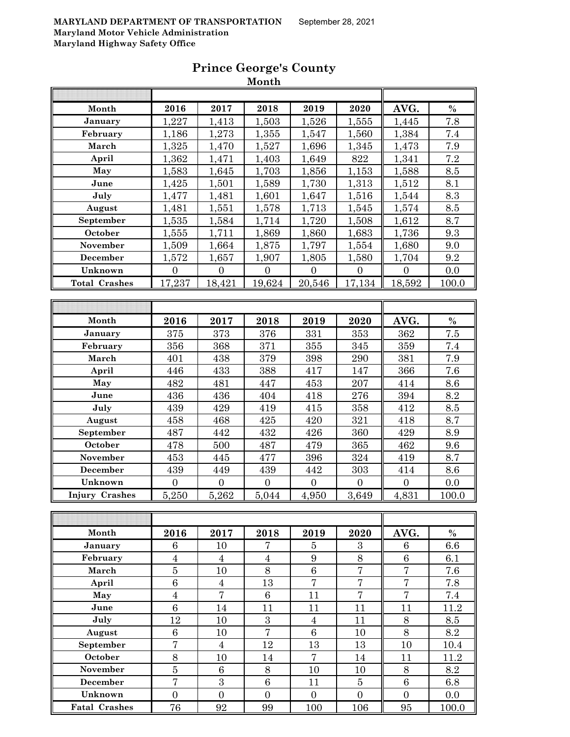| Month                 | 2016           | 2017           | 2018           | 2019           | 2020           | AVG.           | $\frac{0}{0}$ |
|-----------------------|----------------|----------------|----------------|----------------|----------------|----------------|---------------|
| January               | 1,227          | 1,413          | 1,503          | 1,526          | 1,555          | 1,445          | 7.8           |
| February              | 1,186          | 1,273          | 1,355          | 1,547          | 1,560          | 1,384          | $7.4\,$       |
| March                 | 1,325          | 1,470          | 1,527          | 1,696          | 1,345          | 1,473          | 7.9           |
| April                 | 1,362          | 1,471          | 1,403          | 1,649          | 822            | 1,341          | 7.2           |
| May                   | 1,583          | 1,645          | 1,703          | 1,856          | 1,153          | 1,588          | 8.5           |
| June                  | 1,425          | 1,501          | 1,589          | 1,730          | 1,313          | 1,512          | 8.1           |
| July                  | 1,477          | 1,481          | 1,601          | 1,647          | 1,516          | 1,544          | 8.3           |
| August                | 1,481          | 1,551          | 1,578          | 1,713          | 1,545          | 1,574          | 8.5           |
| September             | 1,535          | 1,584          | 1,714          | 1,720          | 1,508          | 1,612          | 8.7           |
| October               | 1,555          | 1,711          | 1,869          | 1,860          | 1,683          | 1,736          | 9.3           |
| November              | 1,509          | 1,664          | 1,875          | 1,797          | 1,554          | 1,680          | 9.0           |
| <b>December</b>       | 1,572          | 1,657          | 1,907          | 1,805          | 1,580          | 1,704          | 9.2           |
| Unknown               | $\overline{0}$ | $\Omega$       | $\theta$       | $\Omega$       | $\Omega$       | $\theta$       | 0.0           |
| <b>Total Crashes</b>  | 17,237         | 18,421         | 19,624         | 20,546         | 17,134         | 18,592         | 100.0         |
|                       |                |                |                |                |                |                |               |
|                       |                |                |                |                |                |                |               |
| Month                 | 2016           | 2017           | 2018           | 2019           | 2020           | AVG.           | $\frac{0}{0}$ |
| January               | 375            | 373            | 376            | 331            | 353            | 362            | 7.5           |
| February              | 356            | 368            | 371            | 355            | 345            | 359            | 7.4           |
| March                 | 401            | 438            | 379            | 398            | 290            | 381            | 7.9           |
| April                 | 446            | 433            | 388            | 417            | 147            | 366            | 7.6           |
| May                   | 482            | 481            | 447            | 453            | 207            | 414            | 8.6           |
| June                  | 436            | 436            | 404            | 418            | 276            | 394            | 8.2           |
| July                  | 439            | 429            | 419            | 415            | 358            | 412            | 8.5           |
| August                | 458            | 468            | 425            | 420            | 321            | 418            | 8.7           |
| September             | 487            | 442            | 432            | 426            | 360            | 429            | 8.9           |
| October               | 478            | 500            | 487            | 479            | 365            | 462            | 9.6           |
| November              | 453            | 445            | 477            | 396            | 324            | 419            | 8.7           |
| December              | 439            | 449            | 439            | 442            | 303            | 414            | 8.6           |
| Unknown               | $\overline{0}$ | $\overline{0}$ | $\overline{0}$ | $\overline{0}$ | $\overline{0}$ | $\overline{0}$ | 0.0           |
| <b>Injury Crashes</b> | 5,250          | 5,262          | 5,044          | 4,950          | 3,649          | 4,831          | 100.0         |
| T                     |                |                |                |                |                |                |               |

# **Prince George's County**

**Month**

| Month                | 2016     | 2017     | 2018           | 2019           | 2020           | AVG.           | $\%$  |
|----------------------|----------|----------|----------------|----------------|----------------|----------------|-------|
| January              | 6        | 10       | 7              | 5              | 3              | 6              | 6.6   |
| February             | 4        | 4        | 4              | 9              | 8              | 6              | 6.1   |
| March                | 5        | 10       | 8              | 6              | 7              | 7              | 7.6   |
| April                | 6        | 4        | 13             | 7              | 7              | 7              | 7.8   |
| May                  | 4        | 7        | 6              | 11             | 7              | 7              | 7.4   |
| June                 | 6        | 14       | 11             | 11             | 11             | 11             | 11.2  |
| July                 | 12       | 10       | 3              | 4              | 11             | 8              | 8.5   |
| August               | 6        | 10       | 7              | 6              | 10             | 8              | 8.2   |
| September            | 7        | 4        | 12             | 13             | 13             | 10             | 10.4  |
| October              | 8        | 10       | 14             | 7              | 14             | 11             | 11.2  |
| November             | 5        | 6        | 8              | 10             | 10             | 8              | 8.2   |
| <b>December</b>      | 7        | 3        | 6              | 11             | $\overline{5}$ | 6              | 6.8   |
| Unknown              | $\Omega$ | $\Omega$ | $\overline{0}$ | $\overline{0}$ | $\Omega$       | $\overline{0}$ | 0.0   |
| <b>Fatal Crashes</b> | 76       | 92       | 99             | 100            | 106            | 95             | 100.0 |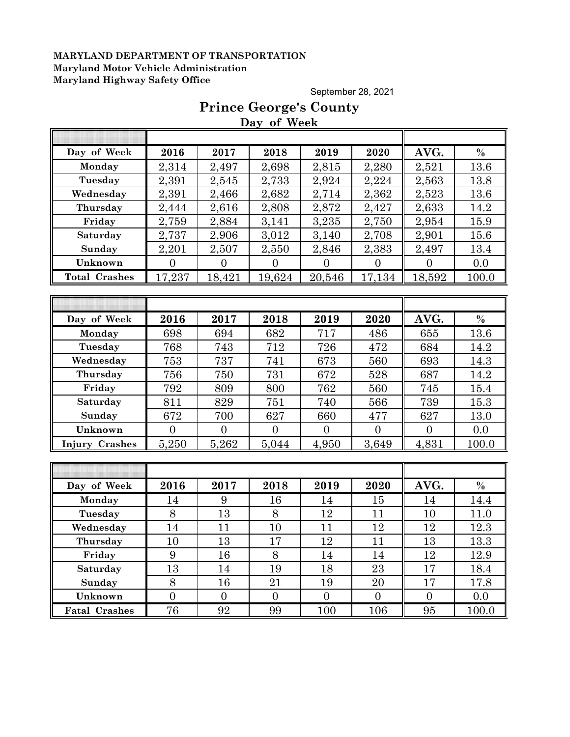September 28, 2021

# **Prince George's County Day of Week**

| Day of Week           | 2016             | 2017             | 2018           | 2019             | 2020           | AVG.           | $\%$          |
|-----------------------|------------------|------------------|----------------|------------------|----------------|----------------|---------------|
| Monday                | 2,314            | 2,497            | 2,698          | 2,815            | 2,280          | 2,521          | 13.6          |
| Tuesday               | 2,391            | 2,545            | 2,733          | 2,924            | 2,224          | 2,563          | 13.8          |
| Wednesday             | 2,391            | 2,466            | 2,682          | 2,714            | 2,362          | 2,523          | 13.6          |
| Thursday              | 2,444            | 2,616            | 2,808          | 2,872            | 2,427          | 2,633          | 14.2          |
| Friday                | 2,759            | 2,884            | 3,141          | 3,235            | 2,750          | 2,954          | 15.9          |
| Saturday              | 2,737            | 2,906            | 3,012          | 3,140            | 2,708          | 2,901          | 15.6          |
| Sunday                | 2,201            | 2,507            | 2,550          | 2,846            | 2,383          | 2,497          | 13.4          |
| Unknown               | $\overline{0}$   | $\overline{0}$   | $\overline{0}$ | $\overline{0}$   | $\overline{0}$ | $\overline{0}$ | 0.0           |
| <b>Total Crashes</b>  | 17,237           | 18,421           | 19,624         | 20,546           | 17,134         | 18,592         | 100.0         |
|                       |                  |                  |                |                  |                |                |               |
|                       |                  |                  |                |                  |                |                |               |
| Day of Week           | 2016             | 2017             | 2018           | 2019             | 2020           | AVG.           | $\%$          |
| Monday                | 698              | 694              | 682            | 717              | 486            | 655            | 13.6          |
| Tuesday               | 768              | 743              | 712            | 726              | 472            | 684            | 14.2          |
| Wednesday             | 753              | 737              | 741            | 673              | 560            | 693            | 14.3          |
| Thursday              | 756              | 750              | 731            | 672              | 528            | 687            | 14.2          |
| Friday                | 792              | 809              | 800            | 762              | 560            | 745            | 15.4          |
| Saturday              | 811              | 829              | 751            | 740              | 566            | 739            | 15.3          |
| Sunday                | 672              | 700              | 627            | 660              | 477            | 627            | 13.0          |
| Unknown               | $\overline{0}$   | $\overline{0}$   | $\overline{0}$ | $\overline{0}$   | $\theta$       | $\overline{0}$ | 0.0           |
| <b>Injury Crashes</b> | 5,250            | 5,262            | 5,044          | 4,950            | 3,649          | 4,831          | 100.0         |
|                       |                  |                  |                |                  |                |                |               |
|                       |                  |                  |                |                  |                |                |               |
| Day of Week           | 2016             | 2017             | 2018           | 2019             | 2020           | AVG.           | $\frac{0}{0}$ |
| Monday                | 14               | 9                | 16             | 14               | 15             | 14             | 14.4          |
| Tuesday               | 8                | 13               | 8              | 12               | 11             | 10             | 11.0          |
| Wednesday             | 14               | 11               | 10             | 11               | 12             | 12             | 12.3          |
| Thursday              | 10               | 13               | 17             | 12               | 11             | 13             | 13.3          |
| Friday                | 9                | 16               | 8              | 14               | 14             | 12             | 12.9          |
| Saturday              | 13               | 14               | 19             | 18               | 23             | 17             | 18.4          |
| Sunday                | $8\,$            | 16               | 21             | 19               | 20             | 17             | 17.8          |
| Unknown               | $\boldsymbol{0}$ | $\boldsymbol{0}$ | $\overline{0}$ | $\boldsymbol{0}$ | $\mathbf{0}$   | $\overline{0}$ | 0.0           |
| <b>Fatal Crashes</b>  | 76               | 92               | 99             | 100              | 106            | 95             | 100.0         |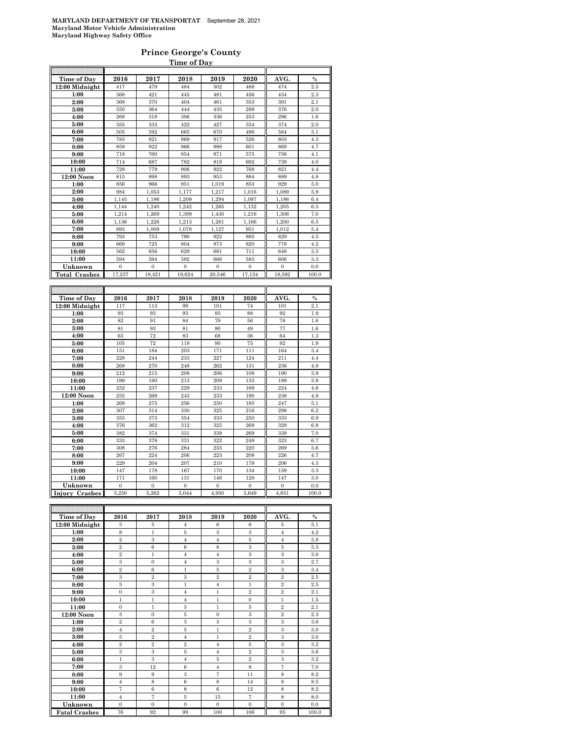### **Prince George's County**

|                                  |                           |                           | Time of Day               |                           |                           |                           |               |
|----------------------------------|---------------------------|---------------------------|---------------------------|---------------------------|---------------------------|---------------------------|---------------|
| Time of Day                      | 2016                      | 2017                      | 2018                      | 2019                      | 2020                      | AVG.                      | $\frac{0}{0}$ |
| 12:00 Midnight                   | 417                       | 479                       | 484                       | 502                       | 488                       | 474                       | $2.5\,$       |
| 1:00                             | 368                       | 421                       | 445                       | 481                       | 456                       | 434                       | 2.3           |
| 2:00                             | 368                       | 370                       | 404                       | 461                       | 353                       | 391                       | 2.1           |
| 3:00                             | 350                       | 364                       | 444                       | 435                       | 288                       | 376                       | 2.0           |
| 4:00                             | 268                       | 318                       | 306                       | 336                       | 253                       | 296                       | 1.6           |
| 5:00                             | 355                       | 333                       | 422                       | 427                       | 334                       | 374                       | 2.0           |
| 6:00                             | 505                       | 592                       | 665                       | 670                       | 486                       | 584                       | 3.1           |
| 7:00                             | 783                       | 821                       | 969                       | 917                       | 526                       | 803                       | 4.3           |
| 8:00                             | 858                       | 922                       | 966                       | 998                       | 601                       | 869                       | 4.7           |
| 9:00                             | 718                       | 760                       | 854                       | 871                       | 575                       | 756                       | 4.1           |
| 10:00                            | 714                       | 687                       | 782                       | 818                       | 692                       | 739                       | 4.0           |
| 11:00                            | 728                       | 779                       | 906                       | 922                       | 768                       | 821                       | 4.4           |
| 12:00 Noon                       | 815                       | 898                       | 893                       | 953                       | 884                       | 889                       | 4.8           |
| 1:00                             | 856                       | 966                       | 951                       | 1,019                     | 853                       | 929                       | 5.0           |
| 2:00                             | 984                       | 1,053                     | 1,177                     | 1,217                     | 1,016                     | 1,089                     | 5.9           |
| 3:00                             | 1,145                     | 1,186                     | 1,209                     | 1,294                     | 1,097                     | 1,186                     | 6.4           |
| 4:00                             | 1,144                     | 1,240                     | 1,242                     | 1,265                     | 1,132                     | 1,205                     | 6.5           |
| 5:00                             | 1,214                     | 1,269                     | 1,399                     | 1,430                     | 1,216                     | 1,306                     | 7.0           |
| 6:00                             | 1,136                     | 1,226                     | 1,213                     | 1,261                     | 1,166                     | 1,200                     | 6.5           |
| 7:00                             | 893                       | 1,009                     | 1,078                     | 1,127                     | 951                       | 1,012                     | 5.4           |
| 8:00                             | 793                       | 753                       | 790                       | 922                       | 885                       | 829                       | 4.5           |
| 9:00                             | 669                       | 725                       | 804                       | 873                       | 820                       | 778                       | 4.2           |
| 10:00                            | 562                       | 656                       | 629                       | 681                       | 711                       | 648                       | 3.5           |
| 11:00                            | 594                       | 594                       | 592                       | 666                       | 583                       | 606                       | 3.3           |
| Unknown                          | $\mathbf{0}$              | $\mathbf{0}$              | $\mathbf{0}$              | $\mathbf{0}$              | $\mathbf{0}$              | $\mathbf{0}$              | 0.0           |
| <b>Total Crashes</b>             | 17,237                    | 18,421                    | 19,624                    | 20,546                    | 17,134                    | 18,592                    | 100.0         |
|                                  |                           |                           |                           |                           |                           |                           |               |
|                                  |                           |                           |                           |                           |                           |                           |               |
| Time of Day                      | 2016                      | 2017                      | 2018                      | 2019                      | 2020                      | AVG.                      | $\frac{0}{0}$ |
| 12:00 Midnight                   | 117                       | 113                       | 99                        | 101                       | 74                        | 101                       | 2.1           |
| 1:00                             | 93                        | 93                        | 93                        | 93                        | 88                        | 92                        | 1.9           |
| 2:00                             | 82                        | 91                        | 84                        | 79                        | 56                        | 78                        | 1.6           |
| 3:00                             | 81                        | 93                        | 81                        | 80                        | 49                        | 77                        | 1.6           |
| 4:00                             | 63                        | 72                        | 83                        | 68                        | 36                        | 64                        | $1.3\,$       |
| 5:00                             | 105                       | 72                        | 118                       | 90                        | 75                        | 92                        | 1.9           |
| 6:00                             | 151                       | 184                       | 203                       | 171                       | 111                       | 164                       | 3.4           |
| 7:00                             | 228                       | 244                       | 233                       | 227                       | 124                       | 211                       | 4.4           |
| 8:00                             | 268                       | 270                       | 248                       | 262                       | 131                       | 236                       | 4.9           |
| 9:00                             | 212                       | 215                       | 208                       | 206                       | 109                       | 190                       | 3.9           |
| 10:00                            | 199                       | 190                       | 213                       | 209                       | 133                       | 189                       | 3.9           |
| 11:00                            | 252                       | 237                       | 229                       | 233                       | 169                       | 224                       | 4.6           |
| 12:00 Noon                       | 255                       | 269                       | 243                       | 233                       | 190                       | 238                       | 4.9           |
| 1:00                             | 269                       | 275                       | 256                       | 250                       | 185                       | 247                       | 5.1           |
| 2:00                             | 307                       | 314                       | 330                       | 325                       | 216                       | 298                       | 6.2           |
| 3:00                             | 355                       | 373                       | 354                       | 333                       | 250                       | 333                       | 6.9           |
| 4:00                             | 376                       | 362<br>374                | 312                       | 325                       | 268                       | 329                       | 6.8           |
| 5:00                             | 382                       | 379                       | 331                       | 339<br>322                | 269                       | 339<br>323                | 7.0<br>6.7    |
| 6:00                             | 333<br>308                | 276                       | 331<br>284                | 255                       | 248<br>220                | 269                       | 5.6           |
| 7:00                             |                           |                           |                           |                           | 208                       |                           |               |
| 8:00                             | 267<br>229                | 224<br>204                | 206<br>207                | 223<br>210                |                           | 226<br>206                | 4.7<br>4.3    |
| 9:00                             |                           | 178                       | 167                       | 170                       | 178                       |                           |               |
| 10:00                            | 147                       |                           |                           |                           | 134                       | 159                       | 3.3           |
|                                  |                           |                           |                           |                           |                           |                           |               |
| 11:00                            | 171                       | 160                       | 131                       | 146                       | 128                       | 147                       | 3.0           |
| Unknown<br><b>Injury Crashes</b> | $\boldsymbol{0}$<br>5,250 | $\boldsymbol{0}$<br>5,262 | $\boldsymbol{0}$<br>5,044 | $\boldsymbol{0}$<br>4,950 | $\boldsymbol{0}$<br>3,649 | $\boldsymbol{0}$<br>4,831 | 0.0<br>100.0  |

| Time of Day          | 2016           | 2017           | 2018           | 2019           | 2020           | AVG.           | $\frac{0}{0}$ |
|----------------------|----------------|----------------|----------------|----------------|----------------|----------------|---------------|
| 12:00 Midnight       | 3              | 5              | $\overline{4}$ | 6              | 6              | 5              | 5.1           |
| 1:00                 | 8              | $\mathbf{1}$   | 5              | 3              | 3              | $\overline{4}$ | 4.2           |
| 2:00                 | $\overline{2}$ | 3              | $\overline{4}$ | $\overline{4}$ | $\bf 5$        | $\overline{4}$ | 3.8           |
| 3:00                 | $\overline{2}$ | 6              | 6              | 8              | 3              | 5              | 5.3           |
| 4:00                 | $\overline{2}$ | 1              | $\overline{4}$ | $\overline{4}$ | 3              | 3              | 3.0           |
| 5:00                 | 3              | $\mathbf{0}$   | $\overline{4}$ | 3              | 3              | 3              | 2.7           |
| 6:00                 | $\overline{2}$ | 6              | $\mathbf{1}$   | 5              | $\overline{2}$ | 3              | 3.4           |
| 7:00                 | 3              | $\overline{2}$ | 3              | $\overline{2}$ | $\overline{2}$ | $\overline{2}$ | 2.5           |
| 8:00                 | 3              | 3              | $\mathbf{1}$   | $\overline{4}$ | $\mathbf{1}$   | $\overline{2}$ | 2.5           |
| 9:00                 | $\mathbf{0}$   | 3              | $\overline{4}$ | $\mathbf{1}$   | $\overline{2}$ | $\overline{2}$ | 2.1           |
| 10:00                | $\mathbf{1}$   | $\mathbf{1}$   | $\overline{4}$ | $\mathbf{1}$   | $\overline{0}$ | $\mathbf{1}$   | 1.5           |
| 11:00                | $\Omega$       | 1              | 3              | 1              | 5              | $\overline{2}$ | 2.1           |
| 12:00 Noon           | 3              | $\mathbf{0}$   | 5              | $\Omega$       | 3              | $\overline{2}$ | 2.3           |
| 1:00                 | $\overline{2}$ | 6              | 3              | 3              | 3              | 3              | 3.6           |
| 2:00                 | $\overline{4}$ | $\overline{2}$ | 5              | $\mathbf{1}$   | $\overline{2}$ | 3              | 3.0           |
| 3:00                 | 5              | $\overline{2}$ | $\overline{4}$ | $\mathbf{1}$   | $\overline{2}$ | 3              | 3.0           |
| 4:00                 | $\overline{2}$ | $\overline{2}$ | $\,2\,$        | $\overline{4}$ | 5              | 3              | 3.2           |
| 5:00                 | 3              | 3              | 5              | $\overline{4}$ | $\overline{2}$ | 3              | 3.6           |
| 6:00                 | $\mathbf{1}$   | 3              | $\overline{4}$ | 5              | $\overline{2}$ | 3              | 3.2           |
| 7:00                 | 3              | 12             | 6              | $\overline{4}$ | 8              | $\overline{7}$ | 7.0           |
| 8:00                 | 9              | 9              | 3              | $\overline{7}$ | 11             | 8              | 8.2           |
| 9:00                 | $\overline{4}$ | 8              | 6              | 8              | 14             | 8              | 8.5           |
| 10:00                | 7              | 6              | 8              | 6              | 12             | 8              | 8.2           |
| 11:00                | $\overline{4}$ | 7              | 5              | 15             | 7              | 8              | 8.0           |
| Unknown              | $\mathbf{0}$   | $\mathbf{0}$   | $\mathbf{0}$   | $\mathbf{0}$   | $\Omega$       | $\mathbf{0}$   | 0.0           |
| <b>Fatal Crashes</b> | 76             | 92             | 99             | 100            | 106            | 95             | 100.0         |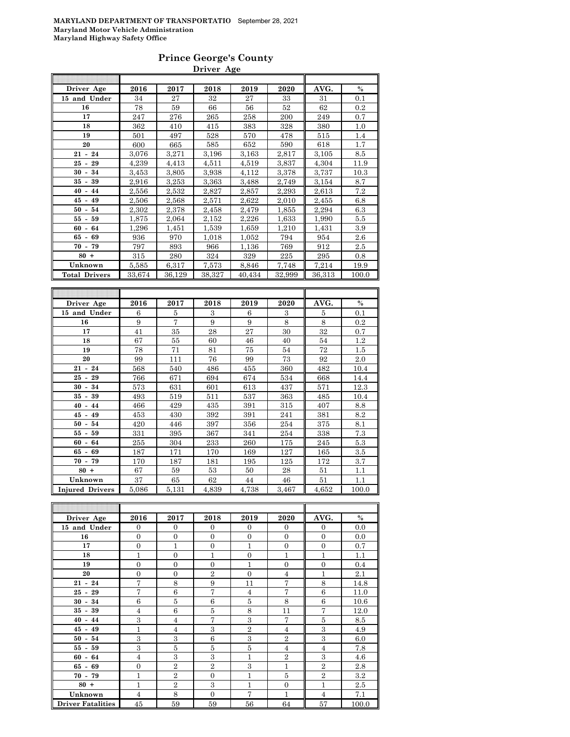### **Prince George's County Driver Age**

| Driver Age           | 2016   | 2017   | 2018   | 2019   | 2020   | AVG.   | $\frac{0}{0}$ |
|----------------------|--------|--------|--------|--------|--------|--------|---------------|
| 15 and Under         | 34     | 27     | 32     | 27     | 33     | 31     | 0.1           |
| 16                   | 78     | 59     | 66     | 56     | 52     | 62     | 0.2           |
| 17                   | 247    | 276    | 265    | 258    | 200    | 249    | 0.7           |
| 18                   | 362    | 410    | 415    | 383    | 328    | 380    | 1.0           |
| 19                   | 501    | 497    | 528    | 570    | 478    | 515    | 1.4           |
| 20                   | 600    | 665    | 585    | 652    | 590    | 618    | 1.7           |
| $21 - 24$            | 3,076  | 3,271  | 3,196  | 3,163  | 2,817  | 3,105  | 8.5           |
| $25 -$<br>29         | 4,239  | 4,413  | 4,511  | 4,519  | 3.837  | 4,304  | 11.9          |
| 34<br>$30 -$         | 3,453  | 3,805  | 3,938  | 4,112  | 3,378  | 3,737  | 10.3          |
| $35 - 39$            | 2,916  | 3,253  | 3,363  | 3,488  | 2,749  | 3,154  | 8.7           |
| $40 - 44$            | 2,556  | 2,532  | 2,827  | 2,857  | 2,293  | 2,613  | 7.2           |
| $45 - 49$            | 2,506  | 2,568  | 2,571  | 2,622  | 2,010  | 2,455  | 6.8           |
| $50 - 54$            | 2,302  | 2,378  | 2,458  | 2,479  | 1,855  | 2,294  | 6.3           |
| 55 -<br>59           | 1,875  | 2,064  | 2,152  | 2,226  | 1,633  | 1,990  | 5.5           |
| $60 - 64$            | 1,296  | 1,451  | 1,539  | 1,659  | 1,210  | 1,431  | 3.9           |
| $65 - 69$            | 936    | 970    | 1,018  | 1,052  | 794    | 954    | 2.6           |
| $70 - 79$            | 797    | 893    | 966    | 1,136  | 769    | 912    | 2.5           |
| $80 +$               | 315    | 280    | 324    | 329    | 225    | 295    | 0.8           |
| Unknown              | 5,585  | 6,317  | 7,573  | 8,846  | 7,748  | 7,214  | 19.9          |
| <b>Total Drivers</b> | 33,674 | 36,129 | 38,327 | 40,434 | 32,999 | 36,313 | 100.0         |
|                      |        |        |        |        |        |        |               |

| Driver Age             | 2016  | 2017  | 2018  | 2019  | 2020  | AVG.  | $\%$  |
|------------------------|-------|-------|-------|-------|-------|-------|-------|
| 15 and Under           | 6     | 5     | 3     | 6     | 3     | 5     | 0.1   |
| 16                     | 9     | 7     | 9     | 9     | 8     | 8     | 0.2   |
| 17                     | 41    | 35    | 28    | 27    | 30    | 32    | 0.7   |
| 18                     | 67    | 55    | 60    | 46    | 40    | 54    | 1.2   |
| 19                     | 78    | 71    | 81    | 75    | 54    | 72    | 1.5   |
| 20                     | 99    | 111   | 76    | 99    | 73    | 92    | 2.0   |
| $21 - 24$              | 568   | 540   | 486   | 455   | 360   | 482   | 10.4  |
| $25 -$<br>29           | 766   | 671   | 694   | 674   | 534   | 668   | 14.4  |
| 34<br>$30 -$           | 573   | 631   | 601   | 613   | 437   | 571   | 12.3  |
| 35 -<br>39             | 493   | 519   | 511   | 537   | 363   | 485   | 10.4  |
| $40 -$<br>44           | 466   | 429   | 435   | 391   | 315   | 407   | 8.8   |
| $45 -$<br>49           | 453   | 430   | 392   | 391   | 241   | 381   | 8.2   |
| 54<br>$50 -$           | 420   | 446   | 397   | 356   | 254   | 375   | 8.1   |
| 55 -<br>59             | 331   | 395   | 367   | 341   | 254   | 338   | 7.3   |
| 64<br>$60 -$           | 255   | 304   | 233   | 260   | 175   | 245   | 5.3   |
| 65 -<br>69             | 187   | 171   | 170   | 169   | 127   | 165   | 3.5   |
| 79<br>$70 -$           | 170   | 187   | 181   | 195   | 125   | 172   | 3.7   |
| $80 +$                 | 67    | 59    | 53    | 50    | 28    | 51    | 1.1   |
| Unknown                | 37    | 65    | 62    | 44    | 46    | 51    | 1.1   |
| <b>Injured Drivers</b> | 5,086 | 5,131 | 4,839 | 4,738 | 3,467 | 4,652 | 100.0 |

| Driver Age               | 2016           | 2017           | 2018           | 2019           | 2020           | AVG.           | $\%$  |
|--------------------------|----------------|----------------|----------------|----------------|----------------|----------------|-------|
| 15 and Under             | $\Omega$       | $\Omega$       | $\Omega$       | $\Omega$       | $\Omega$       | $\overline{0}$ | 0.0   |
| 16                       | $\overline{0}$ | $\overline{0}$ | $\Omega$       | $\Omega$       | $\overline{0}$ | $\overline{0}$ | 0.0   |
| 17                       | $\overline{0}$ | $\overline{1}$ | $\overline{0}$ | 1              | $\overline{0}$ | $\overline{0}$ | 0.7   |
| 18                       | 1              | $\overline{0}$ | $\mathbf{1}$   | $\overline{0}$ | 1              | 1              | 1.1   |
| 19                       | $\overline{0}$ | $\overline{0}$ | $\theta$       | 1              | $\overline{0}$ | $\overline{0}$ | 0.4   |
| 20                       | $\overline{0}$ | $\overline{0}$ | $\overline{2}$ | $\Omega$       | 4              | 1              | 2.1   |
| $21 - 24$                | 7              | 8              | 9              | 11             | 7              | 8              | 14.8  |
| $25 - 29$                | 7              | 6              | $\overline{7}$ | $\overline{4}$ | 7              | 6              | 11.0  |
| $30 - 34$                | $\,6$          | $\bf 5$        | 6              | 5              | 8              | $\,6$          | 10.6  |
| $35 - 39$                | $\overline{4}$ | 6              | 5              | 8              | 11             | $\overline{7}$ | 12.0  |
| $40 - 44$                | 3              | $\overline{4}$ | 7              | 3              | 7              | 5              | 8.5   |
| $45 - 49$                | 1              | $\overline{4}$ | 3              | $\overline{2}$ | 4              | 3              | 4.9   |
| $50 - 54$                | 3              | 3              | 6              | 3              | $\overline{2}$ | 3              | 6.0   |
| $55 - 59$                | 3              | 5              | 5              | 5              | $\overline{4}$ | $\overline{4}$ | 7.8   |
| $60 - 64$                | $\overline{4}$ | 3              | 3              | 1              | $\overline{2}$ | 3              | 4.6   |
| $65 - 69$                | $\overline{0}$ | $\overline{2}$ | $\mathbf{2}$   | 3              | $\mathbf{1}$   | $\overline{2}$ | 2.8   |
| $70 - 79$                | 1              | $\overline{2}$ | $\Omega$       | 1              | 5              | $\overline{2}$ | 3.2   |
| $80 +$                   | 1              | $\overline{2}$ | 3              | 1              | $\mathbf{0}$   | 1              | 2.5   |
| Unknown                  | $\overline{4}$ | 8              | $\Omega$       | 7              | $\mathbf{1}$   | $\overline{4}$ | 7.1   |
| <b>Driver Fatalities</b> | 45             | 59             | 59             | 56             | 64             | 57             | 100.0 |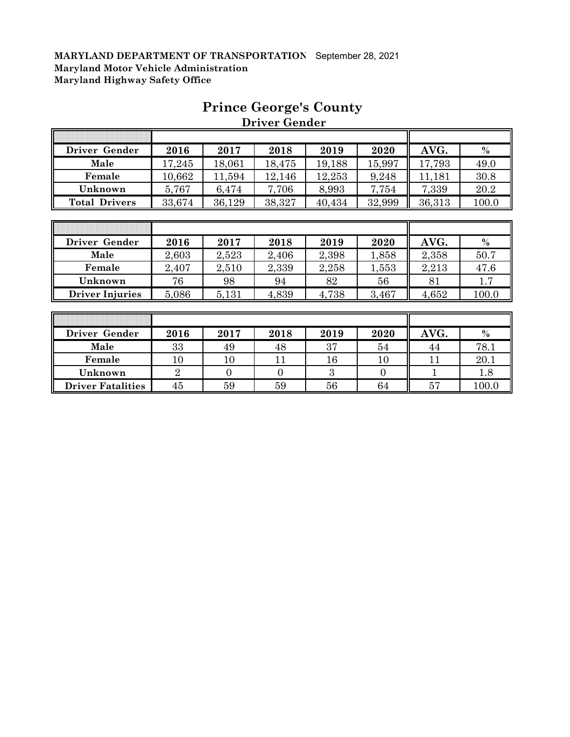| Driver Gender        | 2016   | 2017   | 2018   | 2019   | 2020   | AVG.   | $\frac{0}{0}$ |
|----------------------|--------|--------|--------|--------|--------|--------|---------------|
| Male                 | 17,245 | 18,061 | 18,475 | 19,188 | 15,997 | 17,793 | 49.0          |
| Female               | 10,662 | 11,594 | 12,146 | 12,253 | 9,248  | 11,181 | 30.8          |
| Unknown              | 5,767  | 6,474  | 7,706  | 8,993  | 7,754  | 7,339  | 20.2          |
| <b>Total Drivers</b> | 33,674 | 36,129 | 38,327 | 40,434 | 32,999 | 36,313 | 100.0         |

# **Prince George's County Driver Gender**

| Driver Gender          | 2016  | 2017  | 2018  | 2019  | 2020  | AVG.  | $\%$  |
|------------------------|-------|-------|-------|-------|-------|-------|-------|
| Male                   | 2,603 | 2,523 | 2,406 | 2,398 | 1,858 | 2,358 | 50.7  |
| Female                 | 2,407 | 2,510 | 2,339 | 2,258 | 1,553 | 2,213 | 47.6  |
| Unknown                | 76    | 98    | 94    | 82    | 56    | 81    |       |
| <b>Driver Injuries</b> | 5,086 | 5,131 | 4,839 | 4,738 | 3,467 | 4,652 | 100.0 |

| Driver Gender            | 2016   | 2017   | 2018 | 2019 | 2020   | AVG. | $\frac{0}{0}$ |
|--------------------------|--------|--------|------|------|--------|------|---------------|
| Male                     | 33     | 49     | 48   | 37   | 54     | 44   | 78.1          |
| Female                   | $10\,$ | $10\,$ |      | 16   | $10\,$ |      | 20.1          |
| Unknown                  | ↵      |        |      |      |        |      | 1.8           |
| <b>Driver Fatalities</b> | 45     | 59     | 59   | 56   | 64     | 57   | 100.0         |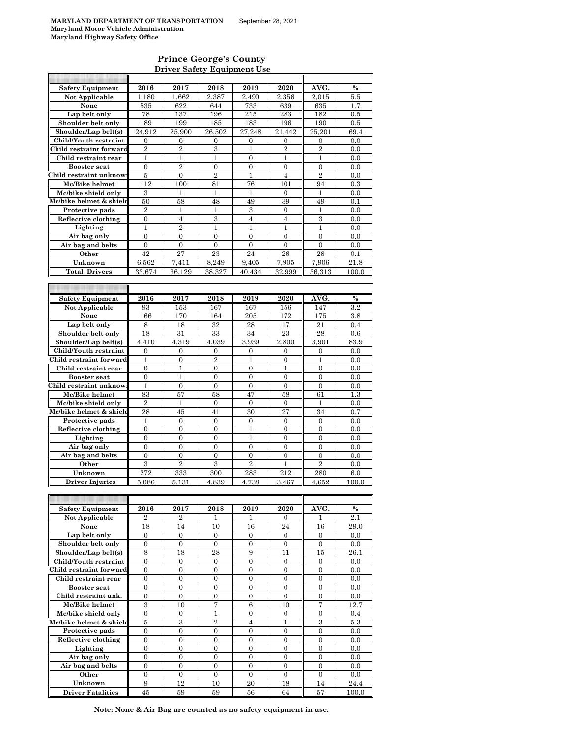### **Prince George's County Driver Safety Equipment Use**

| <b>Safety Equipment</b>  | 2016             | 2017             | 2018             | 2019             | 2020             | AVG.             | $\frac{0}{0}$ |
|--------------------------|------------------|------------------|------------------|------------------|------------------|------------------|---------------|
| Not Applicable           | 1,180            | 1,662            | 2,387            | 2.490            | 2.356            | 2,015            | 5.5           |
| None                     | 535              | 622              | 644              | 733              | 639              | 635              | 1.7           |
|                          |                  |                  |                  |                  |                  |                  |               |
| Lap belt only            | 78               | 137              | 196              | 215              | 283              | 182              | 0.5           |
| Shoulder belt only       | 189              | 199              | 185              | 183              | 196              | 190              | 0.5           |
| Shoulder/Lap belt(s)     | 24,912           | 25,900           | 26,502           | 27.248           | 21.442           | 25,201           | 69.4          |
| Child/Youth restraint    | 0                | $\boldsymbol{0}$ | 0                | $\boldsymbol{0}$ | 0                | 0                | 0.0           |
| Child restraint forward  | $\overline{2}$   | $\overline{2}$   | 3                | 1                | $\overline{2}$   | $\overline{2}$   | 0.0           |
| Child restraint rear     | 1                | 1                | $\mathbf{1}$     | $\overline{0}$   | $\mathbf{1}$     | 1                | 0.0           |
|                          |                  |                  |                  |                  |                  |                  |               |
| <b>Booster</b> seat      | $\mathbf{0}$     | $\overline{2}$   | $\overline{0}$   | $\overline{0}$   | $\overline{0}$   | $\overline{0}$   | 0.0           |
| Child restraint unknow   | 5                | $\boldsymbol{0}$ | $\overline{2}$   | $\mathbf{1}$     | $\overline{4}$   | $\overline{2}$   | 0.0           |
| Mc/Bike helmet           | 112              | 100              | 81               | 76               | 101              | 94               | 0.3           |
| Mc/bike shield only      | 3                | $\mathbf{1}$     | $\mathbf{1}$     | $\mathbf{1}$     | $\overline{0}$   | 1                | 0.0           |
| Mc/bike helmet & shield  | 50               | 58               | 48               | 49               | 39               | 49               | 0.1           |
|                          |                  |                  |                  |                  |                  |                  |               |
| Protective pads          | $\overline{2}$   | 1                | 1                | 3                | $\overline{0}$   | 1                | 0.0           |
| Reflective clothing      | $\boldsymbol{0}$ | $\overline{4}$   | 3                | $\overline{4}$   | $\overline{4}$   | 3                | 0.0           |
| Lighting                 | 1                | $\overline{2}$   | 1                | $\mathbf{1}$     | 1                | 1                | 0.0           |
| Air bag only             | $\mathbf{0}$     | $\overline{0}$   | $\overline{0}$   | $\overline{0}$   | $\overline{0}$   | $\overline{0}$   | 0.0           |
| Air bag and belts        | $\mathbf{0}$     | $\theta$         | $\theta$         | $\overline{0}$   | $\overline{0}$   | $\overline{0}$   | 0.0           |
| Other                    | 42               | $\overline{27}$  | 23               | 24               | 26               | 28               | 0.1           |
|                          |                  |                  |                  |                  |                  |                  |               |
| Unknown                  | 6,562            | 7,411            | 8,249            | 9,405            | 7,905            | 7,906            | 21.8          |
| <b>Total Drivers</b>     | 33,674           | 36,129           | 38,327           | 40,434           | 32.999           | 36,313           | 100.0         |
|                          |                  |                  |                  |                  |                  |                  |               |
|                          |                  |                  |                  |                  |                  |                  |               |
|                          | 2016             | 2017             | 2018             | 2019             | 2020             | AVG.             | $\%$          |
| <b>Safety Equipment</b>  |                  |                  |                  |                  |                  |                  |               |
| <b>Not Applicable</b>    | 93               | 153              | 167              | 167              | 156              | 147              | 3.2           |
| None                     | 166              | 170              | 164              | 205              | 172              | 175              | 3.8           |
| Lap belt only            | 8                | 18               | 32               | 28               | 17               | 21               | 0.4           |
| Shoulder belt only       | 18               | 31               | 33               | 34               | 23               | 28               | 0.6           |
| Shoulder/Lap belt(s)     | 4.410            | 4,319            | 4,039            | 3,939            | 2,800            | 3,901            | 83.9          |
|                          |                  |                  |                  |                  |                  |                  |               |
| Child/Youth restraint    | $\mathbf{0}$     | $\overline{0}$   | $\overline{0}$   | $\overline{0}$   | $\mathbf{0}$     | $\overline{0}$   | 0.0           |
| Child restraint forward  | $\mathbf{1}$     | $\boldsymbol{0}$ | $\overline{2}$   | $\mathbf{1}$     | $\boldsymbol{0}$ | $\mathbf 1$      | 0.0           |
| Child restraint rear     | $\boldsymbol{0}$ | 1                | 0                | $\boldsymbol{0}$ | 1                | $\boldsymbol{0}$ | 0.0           |
| <b>Booster</b> seat      | $\mathbf{0}$     | 1                | $\overline{0}$   | $\overline{0}$   | $\overline{0}$   | $\overline{0}$   | 0.0           |
| Child restraint unknow   | $\mathbf{1}$     | $\boldsymbol{0}$ | $\overline{0}$   | $\overline{0}$   | $\boldsymbol{0}$ | $\boldsymbol{0}$ | 0.0           |
|                          |                  |                  |                  |                  |                  |                  |               |
| Mc/Bike helmet           | 83               | 57               | 58               | 47               | 58               | 61               | 1.3           |
| Mc/bike shield only      | $\overline{2}$   | $\mathbf{1}$     | $\boldsymbol{0}$ | $\overline{0}$   | $\boldsymbol{0}$ | 1                | 0.0           |
| Mc/bike helmet & shield  | 28               | 45               | 41               | 30               | 27               | 34               | 0.7           |
| Protective pads          | $\mathbf{1}$     | $\overline{0}$   | $\overline{0}$   | $\overline{0}$   | $\mathbf{0}$     | $\overline{0}$   | 0.0           |
| Reflective clothing      | $\overline{0}$   | $\overline{0}$   | $\overline{0}$   | $\mathbf{1}$     | $\overline{0}$   | $\overline{0}$   | 0.0           |
|                          | $\overline{0}$   |                  | $\overline{0}$   | $\mathbf{1}$     |                  |                  | 0.0           |
| Lighting                 |                  | $\boldsymbol{0}$ |                  |                  | $\boldsymbol{0}$ | $\boldsymbol{0}$ |               |
| Air bag only             | $\boldsymbol{0}$ | $\boldsymbol{0}$ | $\boldsymbol{0}$ | $\boldsymbol{0}$ | $\boldsymbol{0}$ | $\boldsymbol{0}$ | 0.0           |
| Air bag and belts        | $\overline{0}$   | $\overline{0}$   | $\overline{0}$   | $\overline{0}$   | $\overline{0}$   | $\overline{0}$   | 0.0           |
| Other                    | $\,3$            | $\overline{2}$   | 3                | $\overline{2}$   | 1                | $\overline{2}$   | 0.0           |
| Unknown                  | 272              | 333              | 300              | 283              | 212              | 280              | 6.0           |
|                          |                  |                  |                  |                  |                  |                  |               |
| <b>Driver Injuries</b>   | 5.086            | 5.131            | 4,839            | 4.738            | 3,467            | 4.652            | 100.0         |
|                          |                  |                  |                  |                  |                  |                  |               |
|                          |                  |                  |                  |                  |                  |                  |               |
| <b>Safety Equipment</b>  | 2016             | 2017             | 2018             | 2019             | 2020             | AVG.             | $\%$          |
| Not Applicable           | 2                | $\overline{2}$   | 1                | 1                | 0                | 1                | 2.1           |
|                          |                  |                  |                  |                  |                  |                  |               |
| None                     | 18               | 14               | 10               | 16               | 24               | 16               | 29.0          |
| Lap belt only            | $\mathbf{0}$     | $\overline{0}$   | $\overline{0}$   | $\overline{0}$   | $\overline{0}$   | $\overline{0}$   | 0.0           |
| Shoulder belt only       | $\boldsymbol{0}$ | $\boldsymbol{0}$ | $\boldsymbol{0}$ | $\boldsymbol{0}$ | $\boldsymbol{0}$ | $\boldsymbol{0}$ | 0.0           |
| Shoulder/Lap belt(s)     | 8                | 18               | 28               | 9                | 11               | 15               | 26.1          |
| Child/Youth restraint    | $\mathbf{0}$     | $\boldsymbol{0}$ | $\boldsymbol{0}$ | $\boldsymbol{0}$ | $\boldsymbol{0}$ | $\boldsymbol{0}$ | 0.0           |
|                          |                  |                  |                  |                  |                  |                  |               |
| Child restraint forward  | $\boldsymbol{0}$ | $\boldsymbol{0}$ | $\boldsymbol{0}$ | $\boldsymbol{0}$ | $\boldsymbol{0}$ | $\boldsymbol{0}$ | 0.0           |
| Child restraint rear     | $\boldsymbol{0}$ | $\boldsymbol{0}$ | $\boldsymbol{0}$ | $\boldsymbol{0}$ | $\boldsymbol{0}$ | $\boldsymbol{0}$ | 0.0           |
| <b>Booster seat</b>      | $\boldsymbol{0}$ | $\boldsymbol{0}$ | $\mathbf{0}$     | $\boldsymbol{0}$ | $\boldsymbol{0}$ | $\boldsymbol{0}$ | 0.0           |
| Child restraint unk.     | $\mathbf{0}$     | $\overline{0}$   | $\overline{0}$   | $\overline{0}$   | $\overline{0}$   | $\overline{0}$   | 0.0           |
| Mc/Bike helmet           | $\overline{3}$   | 10               | 7                | 6                | 10               | 7                | 12.7          |
|                          | $\boldsymbol{0}$ | $\boldsymbol{0}$ | 1                | $\overline{0}$   | $\boldsymbol{0}$ | $\overline{0}$   | 0.4           |
| Mc/bike shield only      |                  |                  |                  |                  |                  |                  |               |
| Mc/bike helmet & shield  | $\overline{5}$   | $\overline{3}$   | $\overline{2}$   | $\overline{4}$   | $\mathbf{1}$     | $\overline{3}$   | $5.3\,$       |
| Protective pads          | $\boldsymbol{0}$ | $\boldsymbol{0}$ | $\boldsymbol{0}$ | $\boldsymbol{0}$ | $\mathbf{0}$     | $\boldsymbol{0}$ | 0.0           |
| Reflective clothing      | $\overline{0}$   | $\overline{0}$   | $\overline{0}$   | $\overline{0}$   | $\overline{0}$   | $\overline{0}$   | 0.0           |
| Lighting                 | $\boldsymbol{0}$ | $\boldsymbol{0}$ | $\mathbf{0}$     | 0                | $\mathbf{0}$     | 0                | 0.0           |
| Air bag only             | $\boldsymbol{0}$ | $\overline{0}$   | $\overline{0}$   | $\overline{0}$   | $\boldsymbol{0}$ | $\overline{0}$   | 0.0           |
|                          |                  |                  |                  |                  |                  |                  |               |
| Air bag and belts        | $\boldsymbol{0}$ | $\boldsymbol{0}$ | $\mathbf{0}$     | $\boldsymbol{0}$ | $\boldsymbol{0}$ | $\boldsymbol{0}$ | 0.0           |
| Other                    |                  |                  |                  |                  |                  |                  | 0.0           |
|                          | $\mathbf{0}$     | $\mathbf{0}$     | $\overline{0}$   | $\mathbf{0}$     | $\overline{0}$   | $\overline{0}$   |               |
| Unknown                  | $\boldsymbol{9}$ | 12               | 10               | 20               | 18               | 14               | 24.4          |
| <b>Driver Fatalities</b> | 45               | 59               | 59               | 56               | 64               | 57               | 100.0         |

**Note: None & Air Bag are counted as no safety equipment in use.**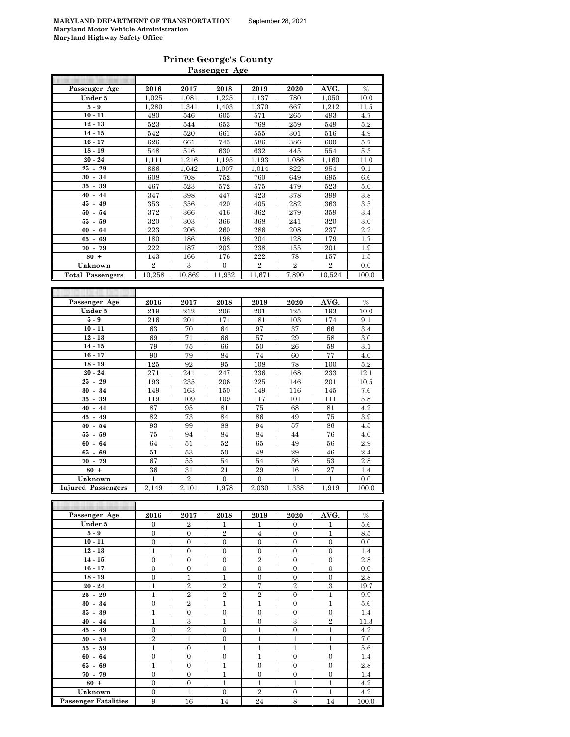#### **Prince George's County Passenger Age**

|                           |                                | Passenger Age                        |                                    |                                    |                                      |                       |               |
|---------------------------|--------------------------------|--------------------------------------|------------------------------------|------------------------------------|--------------------------------------|-----------------------|---------------|
| Passenger Age             | 2016                           | 2017                                 | 2018                               | 2019                               | 2020                                 | AVG.                  | $\%$          |
| Under 5                   | 1,025                          | 1,081                                | 1,225                              | 1,137                              | 780                                  | 1,050                 | 10.0          |
| $5-9$                     | 1,280                          | 1,341                                | 1,403                              | 1,370                              | 667                                  | 1,212                 | 11.5          |
| $10 - 11$                 | 480                            | 546                                  | 605                                | 571                                | 265                                  | 493                   | 4.7           |
| $12 - 13$                 | 523                            | 544                                  | 653                                | 768                                | 259                                  | 549                   | 5.2           |
| $14 - 15$                 | 542                            | 520                                  | 661                                | 555                                | 301                                  | 516                   | 4.9           |
| $16 - 17$                 | 626                            | 661                                  | 743                                | 586                                | 386                                  | 600                   | 5.7           |
| $18 - 19$                 | 548                            | 516                                  | 630                                | 632                                | 445                                  | 554                   | 5.3           |
| $20 - 24$                 | 1,111                          | 1,216                                | 1,195                              | 1,193                              | 1,086                                | 1,160                 | 11.0          |
| $25 - 29$                 | 886                            | 1,042                                | 1,007                              | 1,014                              | 822                                  | 954                   | 9.1           |
| $30 - 34$                 | 608                            | 708                                  | 752                                | 760                                | 649                                  | 695                   | 6.6           |
| $35 - 39$                 | 467                            | 523                                  | 572                                | 575                                | 479                                  | 523                   | 5.0           |
| $40 - 44$                 | 347                            | 398                                  | 447                                | 423                                | 378                                  | 399                   | $\!.8$        |
| $45 - 49$                 | 353                            | 356                                  | 420                                | 405                                | 282                                  | 363                   | 3.5           |
| $50 - 54$                 | 372                            | 366                                  | 416                                | 362                                | 279                                  | 359                   | 3.4           |
| $55 - 59$                 | 320                            | 303                                  | 366                                | 368                                | 241                                  | 320                   | 3.0           |
| $60 -$<br>64              | 223                            | 206                                  | 260                                | 286                                | 208                                  | 237                   | 2.2           |
| 65<br>69<br>$\sim$        | 180                            | 186                                  | 198                                | 204                                | 128                                  | 179                   | 1.7           |
| $70 - 79$                 | 222                            | 187                                  | 203                                | 238                                | 155                                  | 201                   | 1.9           |
| $80 +$                    | 143                            | 166                                  | 176                                | 222                                | 78                                   | 157                   | 1.5           |
| Unknown                   | $\overline{2}$                 | 3                                    | $\overline{0}$                     | $\overline{2}$                     | $\overline{2}$                       | $\overline{2}$        | 0.0           |
| <b>Total Passengers</b>   | 10,258                         | 10,869                               | 11,932                             | 11,671                             | 7,890                                | 10,524                | 100.0         |
|                           |                                |                                      |                                    |                                    |                                      |                       |               |
|                           |                                |                                      |                                    |                                    |                                      |                       |               |
| Passenger Age             | 2016                           | 2017                                 | 2018                               | 2019                               | 2020                                 | AVG.                  | $\frac{0}{0}$ |
| Under 5                   | 219                            | 212                                  | 206                                | 201                                | 125                                  | 193                   | 10.0          |
| $5-9$                     | 216                            | 201                                  | 171                                | 181                                | 103                                  | 174                   | 9.1           |
| $10 - 11$                 | 63                             | 70                                   | 64                                 | 97                                 | 37                                   | 66                    | 3.4           |
| $12 - 13$                 | 69                             | 71                                   | 66                                 | 57                                 | 29                                   | 58                    | 3.0           |
| $14 - 15$                 | 79                             | 75                                   | 66                                 | 50                                 | 26                                   | 59                    | 3.1           |
| $16 - 17$                 | $90\,$                         | 79                                   | 84                                 | 74                                 | 60                                   | 77                    | 4.0           |
| $18 - 19$                 | 125                            | 92                                   | 95                                 | 108                                | 78                                   | 100                   | 5.2           |
| $20 - 24$                 | 271                            | 241                                  | 247                                | 236                                | 168                                  | 233                   | 12.1          |
| $25 - 29$                 | 193                            | 235                                  | 206                                | 225                                | 146                                  | 201                   | 10.5          |
| $30 -$<br>34              | 149                            | 163                                  | 150                                | 149                                | 116                                  | 145                   | 7.6           |
| $35 - 39$                 | 119                            | 109                                  | 109                                | 117                                | 101                                  | 111                   | 5.8           |
| $40 -$<br>44              | 87                             | 95                                   | 81                                 | 75                                 | 68                                   | 81                    | 4.2           |
| $-49$<br>45               | 82                             | 73                                   | 84                                 | 86                                 | 49                                   | 75                    | 3.9           |
| $50 - 54$                 | 93                             | 99                                   | 88                                 | 94                                 | 57                                   | 86                    | 4.5           |
| $55-$<br>59               | 75                             | 94                                   | 84                                 | 84                                 | 44                                   | 76                    | 4.0           |
| $60 - 64$                 | 64                             | 51                                   | 52                                 | 65                                 | 49                                   | 56                    | 2.9           |
| $65 - 69$                 | 51                             | 53                                   | 50                                 | 48                                 | 29                                   | 46                    | 2.4           |
| $70 - 79$                 | 67                             | 55                                   | 54                                 | 54                                 | 36                                   | 53                    | 2.8           |
| $80 +$                    | 36                             | 31                                   | 21                                 | 29                                 | 16                                   | 27                    | 1.4           |
| Unknown                   | $\mathbf{1}$                   | $\overline{2}$                       | $\overline{0}$                     | $\overline{0}$                     | $\mathbf{1}$                         | $\mathbf{1}$          | 0.0           |
| <b>Injured Passengers</b> | 2,149                          | 2,101                                | 1,978                              | 2,030                              | 1,338                                | 1,919                 | 100.0         |
|                           |                                |                                      |                                    |                                    |                                      |                       |               |
|                           |                                |                                      |                                    |                                    |                                      |                       |               |
| Passenger Age             | 2016                           | 2017                                 | 2018                               | 2019                               | 2020                                 | AVG.                  | $\%$          |
| Under 5                   | 0                              | $\overline{2}$                       | $\mathbf{1}$                       | 1                                  | 0                                    | 1                     | 5.6           |
|                           |                                |                                      |                                    |                                    |                                      |                       |               |
| $5-9$<br>$10 - 11$        | $\overline{0}$<br>$\mathbf{0}$ | $\boldsymbol{0}$<br>$\boldsymbol{0}$ | $\overline{2}$<br>$\boldsymbol{0}$ | $\overline{4}$<br>$\boldsymbol{0}$ | $\boldsymbol{0}$<br>$\boldsymbol{0}$ | 1<br>$\boldsymbol{0}$ | 8.5<br>0.0    |

| Under 5                     | $\theta$         | $\mathbf{z}$   | $\perp$        | J.               | U                | T              | 5.6   |
|-----------------------------|------------------|----------------|----------------|------------------|------------------|----------------|-------|
| $5-9$                       | $\overline{0}$   | $\overline{0}$ | $\overline{2}$ | $\overline{4}$   | $\overline{0}$   | $\mathbf{1}$   | 8.5   |
| $10 - 11$                   | $\boldsymbol{0}$ | $\mathbf{0}$   | $\overline{0}$ | $\mathbf{0}$     | $\overline{0}$   | $\mathbf{0}$   | 0.0   |
| $12 - 13$                   | $\mathbf{1}$     | $\overline{0}$ | $\overline{0}$ | $\overline{0}$   | $\overline{0}$   | $\mathbf{0}$   | 1.4   |
| $14 - 15$                   | $\overline{0}$   | $\mathbf{0}$   | $\overline{0}$ | $\boldsymbol{2}$ | $\mathbf{0}$     | $\mathbf{0}$   | 2.8   |
| $16 - 17$                   | $\overline{0}$   | $\mathbf{0}$   | $\overline{0}$ | $\overline{0}$   | $\mathbf{0}$     | $\mathbf{0}$   | 0.0   |
| $18 - 19$                   | $\overline{0}$   | $\mathbf{1}$   | $\mathbf{1}$   | $\overline{0}$   | $\overline{0}$   | $\overline{0}$ | 2.8   |
| $20 - 24$                   | $\mathbf{1}$     | $\overline{2}$ | $\overline{2}$ | $\overline{7}$   | $\overline{2}$   | 3              | 19.7  |
| $25 - 29$                   | $\mathbf{1}$     | $\overline{2}$ | $\,2$          | $\boldsymbol{2}$ | $\boldsymbol{0}$ | $\mathbf{1}$   | 9.9   |
| $30 - 34$                   | $\boldsymbol{0}$ | $\overline{2}$ | $\mathbf{1}$   | $\mathbf{1}$     | $\overline{0}$   | $\mathbf{1}$   | 5.6   |
| $35 - 39$                   | $\mathbf{1}$     | $\mathbf{0}$   | $\theta$       | $\mathbf{0}$     | $\overline{0}$   | $\mathbf{0}$   | 1.4   |
| $40 - 44$                   | 1                | 3              | $\mathbf{1}$   | $\mathbf{0}$     | 3                | $\overline{2}$ | 11.3  |
| $45 - 49$                   | $\overline{0}$   | $\overline{2}$ | $\overline{0}$ | $\mathbf{1}$     | $\overline{0}$   | $\mathbf{1}$   | 4.2   |
| $50 - 54$                   | $\overline{2}$   | $\mathbf{1}$   | $\overline{0}$ | $\mathbf{1}$     | $\mathbf{1}$     | $\mathbf{1}$   | 7.0   |
| $55 - 59$                   | $\mathbf{1}$     | $\overline{0}$ | $\mathbf{1}$   | $\mathbf{1}$     | $\mathbf{1}$     | $\mathbf{1}$   | 5.6   |
| $60 - 64$                   | $\boldsymbol{0}$ | $\mathbf{0}$   | $\overline{0}$ | $\mathbf{1}$     | $\mathbf{0}$     | $\mathbf{0}$   | 1.4   |
| $65 - 69$                   | $\mathbf{1}$     | $\mathbf{0}$   | $\mathbf{1}$   | $\mathbf{0}$     | $\mathbf{0}$     | $\mathbf{0}$   | 2.8   |
| $70 - 79$                   | $\overline{0}$   | $\overline{0}$ | $\mathbf{1}$   | $\mathbf{0}$     | $\overline{0}$   | $\mathbf{0}$   | 1.4   |
| $80 +$                      | $\mathbf{0}$     | $\mathbf{0}$   | $\mathbf{1}$   | $\mathbf{1}$     | $\mathbf{1}$     | $\mathbf{1}$   | 4.2   |
| Unknown                     | $\overline{0}$   | $\mathbf{1}$   | $\overline{0}$ | $\overline{2}$   | $\mathbf{0}$     | $\mathbf{1}$   | 4.2   |
| <b>Passenger Fatalities</b> | 9                | 16             | 14             | 24               | 8                | 14             | 100.0 |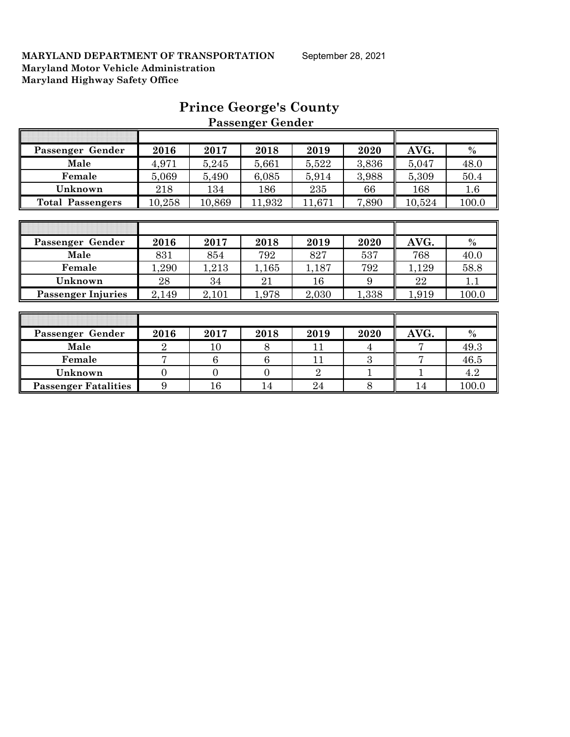| Passenger Gender          | 2016           | 2017     | 2018     | 2019           | 2020           | AVG.   | $\%$    |
|---------------------------|----------------|----------|----------|----------------|----------------|--------|---------|
| Male                      | 4,971          | 5,245    | 5,661    | 5,522          | 3,836          | 5,047  | 48.0    |
| Female                    | 5,069          | 5,490    | 6,085    | 5,914          | 3,988          | 5,309  | 50.4    |
| Unknown                   | 218            | 134      | 186      | 235            | 66             | 168    | $1.6\,$ |
| <b>Total Passengers</b>   | 10,258         | 10,869   | 11,932   | 11,671         | 7,890          | 10,524 | 100.0   |
|                           |                |          |          |                |                |        |         |
|                           |                |          |          |                |                |        |         |
| Passenger Gender          | 2016           | 2017     | 2018     | 2019           | 2020           | AVG.   | $\%$    |
| Male                      | 831            | 854      | 792      | 827            | 537            | 768    | 40.0    |
| Female                    | 1,290          | 1,213    | 1,165    | 1,187          | 792            | 1,129  | 58.8    |
| Unknown                   | 28             | 34       | 21       | 16             | 9              | 22     | 1.1     |
| <b>Passenger Injuries</b> | 2,149          | 2,101    | 1,978    | 2,030          | 1,338          | 1,919  | 100.0   |
|                           |                |          |          |                |                |        |         |
|                           |                |          |          |                |                |        |         |
| Passenger Gender          | 2016           | 2017     | 2018     | 2019           | 2020           | AVG.   | $\%$    |
| Male                      | $\overline{2}$ | 10       | 8        | 11             | $\overline{4}$ | 7      | 49.3    |
| Female                    | 7              | 6        | 6        | 11             | 3              | 7      | 46.5    |
| Unknown                   | $\Omega$       | $\Omega$ | $\Omega$ | $\overline{2}$ |                |        | 4.2     |

**Passenger Fatalities** 9 16 14 24 8 14 100.0

# **Prince George's County Passenger Gender**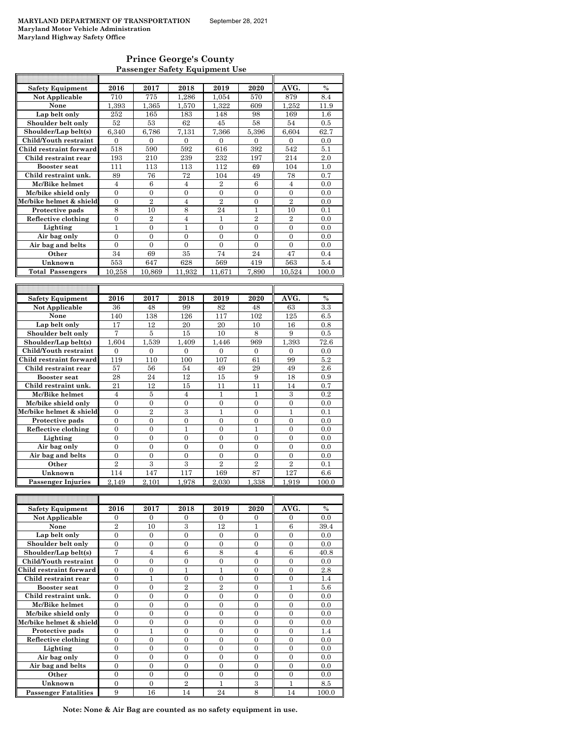### **Prince George's County Passenger Safety Equipment Use**

| <b>Safety Equipment</b>    | 2016                               | 2017                             | 2018                | 2019              | 2020                | AVG.                | %             |
|----------------------------|------------------------------------|----------------------------------|---------------------|-------------------|---------------------|---------------------|---------------|
| Not Applicable             | 710                                | 775                              | 1,286               | 1,054             | 570                 | 879                 | 8.4           |
| None                       | 1,393                              | 1,365                            | 1,570               | 1,322             | 609                 | 1,252               | 11.9          |
| Lap belt only              | 252                                | 165                              | 183                 | 148               | 98                  | 169                 | 1.6           |
| Shoulder belt only         | 52                                 | 53                               | 62                  | 45                | 58                  | 54                  | 0.5           |
| Shoulder/Lap belt(s)       | 6,340                              | 6,786                            | 7.131               | 7,366             | 5,396               | 6,604               | 62.7          |
| Child/Youth restraint      | $\overline{0}$                     | $\overline{0}$                   | $\overline{0}$      | $\mathbf{0}$      | $\mathbf{0}$        | $\mathbf{0}$        | 0.0           |
| Child restraint forward    | 518                                | 590                              | 592                 | 616               | 392                 | 542                 | 5.1           |
| Child restraint rear       | 193                                | 210                              | 239                 | 232               | 197                 | 214                 | 2.0           |
| <b>Booster seat</b>        | 111                                | 113                              | 113                 | 112               | 69                  | 104                 | 1.0           |
| Child restraint unk.       | 89                                 | 76                               | 72                  | 104               | 49                  | 78                  | 0.7           |
| Mc/Bike helmet             | $\overline{4}$                     | $\,6$                            | $\overline{4}$      | $\overline{2}$    | 6                   | $\overline{4}$      | 0.0           |
| Mc/bike shield only        | $\overline{0}$                     | $\overline{0}$                   | $\mathbf{0}$        | $\boldsymbol{0}$  | $\overline{0}$      | $\overline{0}$      | 0.0           |
| Mc/bike helmet & shield    | $\overline{0}$                     | $\overline{2}$                   | $\overline{4}$      | $\overline{2}$    | $\overline{0}$      | $\overline{2}$      | 0.0           |
| Protective pads            | 8                                  | 10                               | 8                   | 24                | 1                   | 10                  | 0.1           |
| Reflective clothing        | $\overline{0}$                     | $\overline{2}$                   | $\overline{4}$      | 1                 | $\overline{2}$      | $\overline{2}$      | 0.0           |
| Lighting                   | 1                                  | 0                                | 1                   | $\boldsymbol{0}$  | $\boldsymbol{0}$    | 0                   | 0.0           |
| Air bag only               | $\overline{0}$                     | $\overline{0}$                   | $\overline{0}$      | $\overline{0}$    | $\theta$            | $\theta$            | 0.0           |
| Air bag and belts          | $\overline{0}$                     | $\overline{0}$                   | $\overline{0}$      | $\mathbf{0}$      | $\mathbf{0}$        | $\mathbf{0}$        | 0.0           |
| Other                      | 34                                 | 69                               | 35                  | 74                | 24                  | 47                  | 0.4           |
| Unknown                    | 553                                | 647                              | 628                 | 569               | 419                 | 563                 | 5.4           |
| <b>Total Passengers</b>    | 10,258                             | 10,869                           | 11,932              | 11,671            | 7,890               | 10,524              | 100.0         |
|                            |                                    |                                  |                     |                   |                     |                     |               |
|                            |                                    |                                  |                     |                   |                     |                     |               |
| <b>Safety Equipment</b>    | 2016                               | 2017                             | 2018                | 2019              | 2020                | AVG.                | $\frac{0}{0}$ |
| Not Applicable             | 36                                 | 48                               | 99                  | 82                | 48                  | 63                  | 3.3           |
| None                       | 140                                | 138                              | 126                 | 117               | 102                 | 125                 | 6.5           |
| Lap belt only              | 17                                 | 12                               | 20                  | 20                | 10                  | 16                  | 0.8           |
| Shoulder belt only         | 7                                  | 5                                | 15                  | 10                | 8                   | 9                   | 0.5           |
| Shoulder/Lap belt(s)       | 1,604                              | 1,539                            | 1,409               | 1,446             | 969                 | 1,393               | 72.6          |
| Child/Youth restraint      | $\boldsymbol{0}$                   | $\boldsymbol{0}$                 | $\boldsymbol{0}$    | $\boldsymbol{0}$  | $\mathbf{0}$        | $\mathbf{0}$        | 0.0           |
| Child restraint forward    | 119                                | 110                              | 100                 | 107               | 61                  | 99                  | 5.2           |
| Child restraint rear       | 57                                 | 56                               | 54                  | 49                | 29                  | 49                  | 2.6           |
| <b>Booster seat</b>        | 28                                 | 24                               | 12                  | 15                | 9                   | 18                  | 0.9           |
| Child restraint unk.       | 21                                 | 12                               | 15                  | 11                | 11                  | 14                  | 0.7           |
| Mc/Bike helmet             | 4                                  | 5                                | 4                   | 1                 | 1                   | 3                   | 0.2           |
| Mc/bike shield only        | $\overline{0}$                     | $\overline{0}$                   | $\overline{0}$      | $\overline{0}$    | $\overline{0}$      | $\overline{0}$      | 0.0           |
| Mc/bike helmet & shield    | $\boldsymbol{0}$<br>$\overline{0}$ | $\overline{2}$<br>$\overline{0}$ | 3<br>$\overline{0}$ | 1<br>$\mathbf{0}$ | 0<br>$\overline{0}$ | 1<br>$\overline{0}$ | 0.1           |
| Protective pads            |                                    |                                  | 1                   | $\mathbf{0}$      | 1                   | 0                   | 0.0           |
| Reflective clothing        | 0<br>$\theta$                      | 0<br>$\overline{0}$              | $\overline{0}$      | $\Omega$          | $\Omega$            | $\Omega$            | 0.0<br>0.0    |
| Lighting<br>Air bag only   | $\overline{0}$                     | $\overline{0}$                   | $\overline{0}$      | $\overline{0}$    | $\overline{0}$      | $\overline{0}$      | 0.0           |
|                            | $\boldsymbol{0}$                   | $\boldsymbol{0}$                 | $\boldsymbol{0}$    | $\overline{0}$    | $\overline{0}$      | $\overline{0}$      | 0.0           |
| Air bag and belts<br>Other | $\overline{2}$                     | 3                                | 3                   | $\overline{2}$    | $\overline{2}$      | $\overline{2}$      | 0.1           |
|                            | 114                                |                                  |                     |                   |                     |                     |               |
| Unknown                    | 2.149                              | 147<br>2.101                     | 117                 | 169               | 87<br>1,338         | 127                 | 6.6           |
| <b>Passenger Injuries</b>  |                                    |                                  | 1,978               | 2,030             |                     | 1,919               | 100.0         |
|                            |                                    |                                  |                     |                   |                     |                     |               |
| <b>Safety Equipment</b>    | 2016                               | 2017                             | 2018                | 2019              | 2020                | AVG.                | $\%$          |
| Not Applicable             | 0                                  | 0                                | 0                   | 0                 | 0                   | 0                   | 0.0           |
| None                       | $\overline{2}$                     | 10                               | 3                   | 12                | 1                   | 6                   | 39.4          |
| Lap belt only              | $\boldsymbol{0}$                   | $\boldsymbol{0}$                 | $\boldsymbol{0}$    | $\boldsymbol{0}$  | $\boldsymbol{0}$    | $\overline{0}$      | 0.0           |
| Shoulder belt only         | $\overline{0}$                     | $\overline{0}$                   | $\overline{0}$      | $\overline{0}$    | $\mathbf{0}$        | $\mathbf{0}$        | 0.0           |
| Shoulder/Lap belt(s)       | 7                                  | $\overline{4}$                   | $\,6$               | 8                 | $\overline{4}$      | 6                   | 40.8          |
| Child/Youth restraint      | $\boldsymbol{0}$                   | $\boldsymbol{0}$                 | $\boldsymbol{0}$    | 0                 | 0                   | 0                   | 0.0           |
| Child restraint forward    | $\boldsymbol{0}$                   | $\boldsymbol{0}$                 | $\mathbf{1}$        | $\mathbf{1}$      | $\boldsymbol{0}$    | $\boldsymbol{0}$    | 2.8           |
| Child restraint rear       | $\boldsymbol{0}$                   | 1                                | $\boldsymbol{0}$    | 0                 | $\boldsymbol{0}$    | $\boldsymbol{0}$    | 1.4           |
| <b>Booster seat</b>        | $\overline{0}$                     | $\boldsymbol{0}$                 | $\overline{2}$      | $\overline{2}$    | $\mathbf{0}$        | $\mathbf{1}$        | $5.6\,$       |
| Child restraint unk.       | 0                                  | 0                                | 0                   | 0                 | 0                   | 0                   | 0.0           |
| Mc/Bike helmet             | $\overline{0}$                     | $\boldsymbol{0}$                 | $\overline{0}$      | $\mathbf{0}$      | $\mathbf{0}$        | $\overline{0}$      | 0.0           |
| Mc/bike shield only        | $\boldsymbol{0}$                   | $\boldsymbol{0}$                 | 0                   | 0                 | 0                   | 0                   | 0.0           |
| Mc/bike helmet & shield    | $\overline{0}$                     | $\overline{0}$                   | $\overline{0}$      | $\mathbf{0}$      | $\mathbf{0}$        | $\overline{0}$      | 0.0           |
| Protective pads            | $\boldsymbol{0}$                   | $\mathbf{1}$                     | $\boldsymbol{0}$    | $\boldsymbol{0}$  | $\overline{0}$      | $\overline{0}$      | 1.4           |
| Reflective clothing        | $\boldsymbol{0}$                   | $\overline{0}$                   | $\overline{0}$      | $\mathbf{0}$      | $\overline{0}$      | $\overline{0}$      | 0.0           |
| Lighting                   | $\boldsymbol{0}$                   | $\boldsymbol{0}$                 | $\boldsymbol{0}$    | $\boldsymbol{0}$  | $\boldsymbol{0}$    | $\boldsymbol{0}$    | 0.0           |
| Air bag only               | $\overline{0}$                     | $\overline{0}$                   | $\overline{0}$      | $\mathbf{0}$      | $\mathbf{0}$        | $\overline{0}$      | 0.0           |

**Passenger Fatalities** 9 16 14 24 8 14 100.0 **Note: None & Air Bag are counted as no safety equipment in use.**

**Air bag only** 0 0 0 0 0 0 0.0

**Other**  $\begin{array}{|c|c|c|c|c|c|} \hline 0 & 0 & 0 & 0 & 0 & 0 & 0.0 \ \hline \end{array}$ **Unknown** 0 0 0 2 1 3 1 8.5

**Air bag and belts**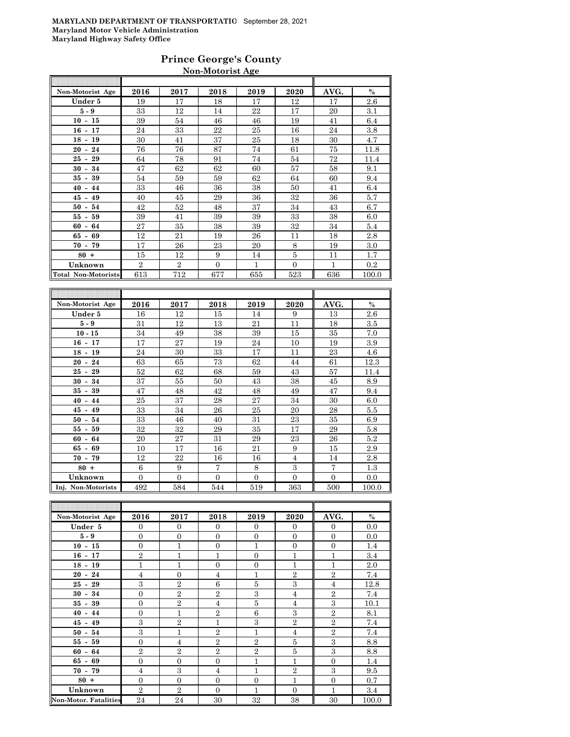### **Prince George's County Non-Motorist Age**

| Non-Motorist Age                     | 2016           | 2017           | 2018     | 2019 | 2020     | AVG. | $\%$    |
|--------------------------------------|----------------|----------------|----------|------|----------|------|---------|
| Under 5                              | 19             | 17             | 18       | 17   | 12       | 17   | $2.6\,$ |
| $5 - 9$                              | 33             | 12             | 14       | 22   | 17       | 20   | 3.1     |
| $10 - 15$                            | 39             | 54             | 46       | 46   | 19       | 41   | 6.4     |
| $16 - 17$                            | 24             | 33             | 22       | 25   | 16       | 24   | 3.8     |
| $18 - 19$                            | 30             | 41             | 37       | 25   | 18       | 30   | 4.7     |
| $20 - 24$                            | 76             | 76             | 87       | 74   | 61       | 75   | 11.8    |
| 25<br>29<br>$\overline{\phantom{a}}$ | 64             | 78             | 91       | 74   | 54       | 72   | 11.4    |
| 34<br>30<br>$\sim$                   | 47             | 62             | 62       | 60   | 57       | 58   | 9.1     |
| 35<br>39<br>$\sim$                   | 54             | 59             | 59       | 62   | 64       | 60   | 9.4     |
| $40 -$<br>44                         | 33             | 46             | 36       | 38   | 50       | 41   | 6.4     |
| 45<br>49<br>$\sim$                   | 40             | 45             | 29       | 36   | 32       | 36   | 5.7     |
| 50<br>54<br>$\sim$                   | 42             | 52             | 48       | 37   | 34       | 43   | 6.7     |
| 55<br>59<br>$\overline{\phantom{a}}$ | 39             | 41             | 39       | 39   | 33       | 38   | 6.0     |
| 60<br>64<br>$\blacksquare$           | 27             | 35             | 38       | 39   | 32       | 34   | 5.4     |
| 69<br>65<br>$\blacksquare$           | 12             | 21             | 19       | 26   | 11       | 18   | 2.8     |
| $70 -$<br>79                         | 17             | 26             | 23       | 20   | 8        | 19   | 3.0     |
| $80 +$                               | 15             | 12             | 9        | 14   | 5        | 11   | 1.7     |
| Unknown                              | $\overline{2}$ | $\overline{2}$ | $\Omega$ | 1    | $\Omega$ | 1    | 0.2     |
| Total Non-Motorists                  | 613            | 712            | 677      | 655  | 523      | 636  | 100.0   |
|                                      |                |                |          |      |          |      |         |

| Non-Motorist Age                     | 2016     | 2017     | 2018     | 2019     | 2020           | AVG.     | $\%$  |
|--------------------------------------|----------|----------|----------|----------|----------------|----------|-------|
| Under 5                              | 16       | 12       | 15       | 14       | 9              | 13       | 2.6   |
| $5 - 9$                              | 31       | 12       | 13       | 21       | 11             | 18       | 3.5   |
| $10 - 15$                            | 34       | 49       | 38       | 39       | 15             | 35       | 7.0   |
| $16 - 17$                            | 17       | 27       | 19       | 24       | 10             | 19       | 3.9   |
| $18 -$<br>19                         | 24       | 30       | 33       | 17       | 11             | 23       | 4.6   |
| 24<br>$20 -$                         | 63       | 65       | 73       | 62       | 44             | 61       | 12.3  |
| $25 -$<br>29                         | 52       | 62       | 68       | 59       | 43             | 57       | 11.4  |
| 34<br>$30 -$                         | 37       | 55       | 50       | 43       | 38             | 45       | 8.9   |
| 35<br>39<br>$\overline{\phantom{0}}$ | 47       | 48       | 42       | 48       | 49             | 47       | 9.4   |
| $40 -$<br>44                         | 25       | 37       | 28       | 27       | 34             | 30       | 6.0   |
| $45 -$<br>49                         | 33       | 34       | 26       | 25       | 20             | 28       | 5.5   |
| $50 - 54$                            | 33       | 46       | 40       | 31       | 23             | 35       | 6.9   |
| 59<br>$55-$                          | 32       | 32       | 29       | 35       | 17             | 29       | 5.8   |
| 64<br>$60 -$                         | 20       | 27       | 31       | 29       | 23             | 26       | 5.2   |
| 69<br>65 -                           | 10       | 17       | 16       | 21       | 9              | 15       | 2.9   |
| $70 - 79$                            | 12       | 22       | 16       | 16       | $\overline{4}$ | 14       | 2.8   |
| $80 +$                               | 6        | 9        | 7        | 8        | 3              | 7        | 1.3   |
| Unknown                              | $\Omega$ | $\Omega$ | $\Omega$ | $\Omega$ | $\Omega$       | $\Omega$ | 0.0   |
| Inj. Non-Motorists                   | 492      | 584      | 544      | 519      | 363            | 500      | 100.0 |

| Non-Motorist Age             | 2016           | 2017           | 2018           | 2019           | 2020             | AVG.           | $\%$  |
|------------------------------|----------------|----------------|----------------|----------------|------------------|----------------|-------|
| Under 5                      | $\Omega$       | $\mathbf{0}$   | $\Omega$       | $\Omega$       | $\Omega$         | $\Omega$       | 0.0   |
| $5 - 9$                      | $\Omega$       | $\mathbf{0}$   | $\Omega$       | $\Omega$       | $\mathbf{0}$     | $\Omega$       | 0.0   |
| $10 - 15$                    | $\mathbf{0}$   | $\mathbf{1}$   | $\overline{0}$ | $\mathbf{1}$   | $\boldsymbol{0}$ | $\mathbf{0}$   | 1.4   |
| $16 - 17$                    | $\overline{2}$ | $\mathbf{1}$   | $\mathbf{1}$   | $\overline{0}$ | $\mathbf{1}$     | $\mathbf{1}$   | 3.4   |
| $18 - 19$                    | $\mathbf{1}$   | $\mathbf{1}$   | $\overline{0}$ | $\overline{0}$ | $\mathbf{1}$     | $\mathbf{1}$   | 2.0   |
| $20 - 24$                    | $\overline{4}$ | $\overline{0}$ | $\overline{4}$ | $\mathbf{1}$   | $\overline{2}$   | $\overline{2}$ | 7.4   |
| $25 - 29$                    | 3              | $\overline{2}$ | 6              | 5              | 3                | $\overline{4}$ | 12.8  |
| $30 - 34$                    | $\overline{0}$ | $\overline{2}$ | $\overline{2}$ | 3              | $\overline{4}$   | $\mathbf{2}$   | 7.4   |
| $35 - 39$                    | $\mathbf{0}$   | $\,2$          | $\overline{4}$ | 5              | $\overline{4}$   | 3              | 10.1  |
| $40 - 44$                    | $\mathbf{0}$   | $\mathbf{1}$   | $\overline{2}$ | 6              | 3                | $\overline{2}$ | 8.1   |
| $45 - 49$                    | 3              | $\overline{2}$ | $\mathbf{1}$   | 3              | $\overline{2}$   | $\overline{2}$ | 7.4   |
| $50 - 54$                    | 3              | $\mathbf{1}$   | $\overline{2}$ | $\mathbf{1}$   | $\overline{4}$   | $\overline{2}$ | 7.4   |
| $55 - 59$                    | $\overline{0}$ | $\overline{4}$ | $\overline{2}$ | $\overline{2}$ | 5                | 3              | 8.8   |
| $60 - 64$                    | $\overline{2}$ | $\overline{2}$ | $\overline{2}$ | $\overline{2}$ | 5                | 3              | 8.8   |
| $65 - 69$                    | $\mathbf{0}$   | $\mathbf{0}$   | $\mathbf{0}$   | $\mathbf{1}$   | $\mathbf{1}$     | $\mathbf{0}$   | 1.4   |
| $70 - 79$                    | $\overline{4}$ | 3              | $\overline{4}$ | $\mathbf{1}$   | $\overline{2}$   | 3              | 9.5   |
| $80 +$                       | $\overline{0}$ | $\mathbf{0}$   | $\Omega$       | $\Omega$       | $\mathbf{1}$     | $\Omega$       | 0.7   |
| Unknown                      | $\overline{2}$ | $\overline{2}$ | $\overline{0}$ | 1              | $\mathbf{0}$     | $\mathbf{1}$   | 3.4   |
| <b>Non-Motor. Fatalities</b> | 24             | 24             | 30             | 32             | 38               | 30             | 100.0 |

F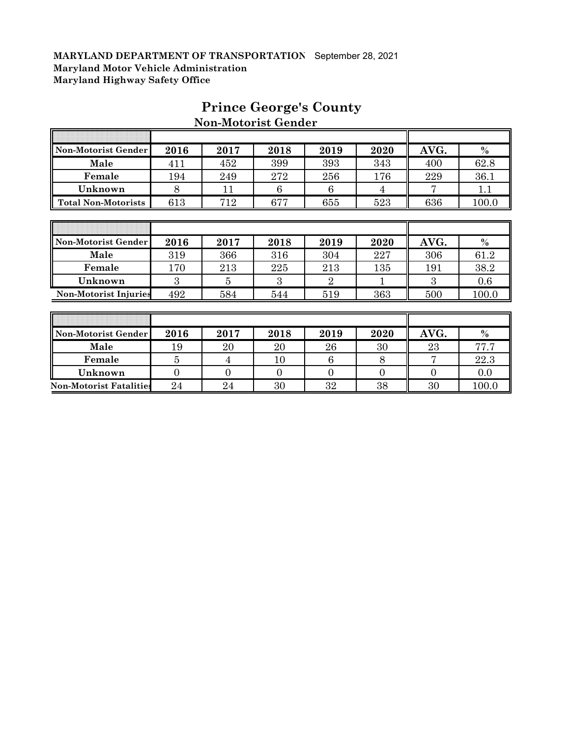Г

| Non-Motorist Gender          | 2016 | 2017 | 2018          | 2019                        | 2020 | AVG. | $\%$          |
|------------------------------|------|------|---------------|-----------------------------|------|------|---------------|
| Male                         | 411  | 452  | 399           | 393                         | 343  | 400  | 62.8          |
| Female                       | 194  | 249  | 272           | 256                         | 176  | 229  | 36.1          |
| Unknown                      | 8    | 11   | 6             | 6                           | 4    | 7    | 1.1           |
| <b>Total Non-Motorists</b>   | 613  | 712  | 677           | 655                         | 523  | 636  | 100.0         |
|                              |      |      |               |                             |      |      |               |
|                              |      |      |               |                             |      |      |               |
| Non-Motorist Gender          | 2016 | 2017 | 2018          | 2019                        | 2020 | AVG. | $\frac{0}{0}$ |
| Male                         | 319  | 366  | 316           | 304                         | 227  | 306  | 61.2          |
| Female                       | 170  | 213  | 225           | 213                         | 135  | 191  | 38.2          |
| Unknown                      | 3    | 5    | $\mathcal{S}$ | $\mathcal{D}_{\mathcal{L}}$ |      | 3    | 0.6           |
| <b>Non-Motorist Injuries</b> | 492  | 584  | 544           | 519                         | 363  | 500  | 100.0         |
|                              |      |      |               |                             |      |      |               |
|                              |      |      |               |                             |      |      |               |
| Non-Motorist Gender          | 2016 | 2017 | 2018          | 2019                        | 2020 | AVG. | $\frac{0}{0}$ |
| Male                         | 19   | 20   | 20            | 26                          | 30   | 23   | 77.7          |

# **Prince George's County Non-Motorist Gender**

Τ

1

| <b>Non-Motorist Injuries</b>   | 492  | 584  | 544  | 519  | 363  | 500  | $100.0\,$ |
|--------------------------------|------|------|------|------|------|------|-----------|
|                                |      |      |      |      |      |      |           |
|                                |      |      |      |      |      |      |           |
| Non-Motorist Gender            | 2016 | 2017 | 2018 | 2019 | 2020 | AVG. | $\%$      |
| Male                           | 19   | 20   | 20   | 26   | 30   | 23   | 77.7      |
| Female                         |      |      | 10   |      |      |      | 22.3      |
| Unknown                        |      |      |      |      |      |      | 0.0       |
| <b>Non-Motorist Fatalities</b> | 24   | 24   | 30   | 32   | 38   | 30   | 100.0     |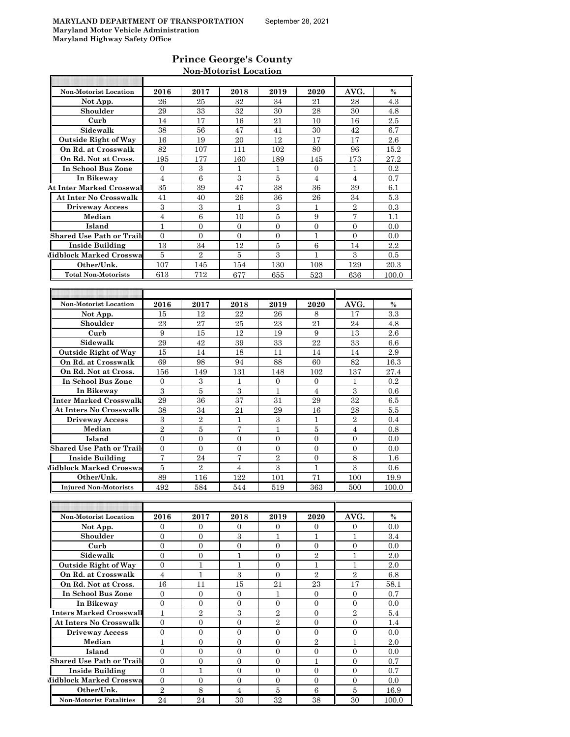### **Prince George's County Non-Motorist Location**

| <b>Non-Motorist Location</b>                      | 2016                             | 2017                           | 2018                | 2019                             | 2020                           | AVG.                             | $\%$       |
|---------------------------------------------------|----------------------------------|--------------------------------|---------------------|----------------------------------|--------------------------------|----------------------------------|------------|
| Not App.                                          | 26                               | 25                             | 32                  | 34                               | 21                             | 28                               | 4.3        |
| Shoulder                                          | 29                               | 33                             | 32                  | 30                               | 28                             | 30                               | 4.8        |
| Curb                                              | 14                               | 17                             | 16                  | 21                               | 10                             | 16                               | 2.5        |
| Sidewalk                                          | 38                               | 56                             | 47                  | 41                               | 30                             | 42                               | 6.7        |
| <b>Outside Right of Way</b>                       | 16                               | 19                             | 20                  | 12                               | 17                             | 17                               | 2.6        |
| On Rd. at Crosswalk                               | 82                               | 107                            | 111                 | 102                              | 80                             | 96                               | 15.2       |
| On Rd. Not at Cross.                              |                                  |                                |                     |                                  |                                |                                  |            |
|                                                   | 195                              | 177                            | 160                 | 189                              | 145                            | 173                              | 27.2       |
| <b>In School Bus Zone</b>                         | $\mathbf{0}$                     | 3<br>6                         | 1                   | L                                | $\Omega$                       | L                                | 0.2        |
| In Bikeway                                        | $\overline{4}$                   |                                | 3                   | 5                                | $\overline{4}$                 | $\overline{4}$                   | 0.7        |
| <b>At Inter Marked Crosswal</b>                   | 35                               | 39                             | 47                  | 38                               | 36                             | 39                               | 6.1        |
| At Inter No Crosswalk                             | 41                               | 40                             | 26                  | 36                               | 26                             | 34                               | 5.3        |
| <b>Driveway Access</b>                            | 3                                | 3                              | $\mathbf{1}$        | 3                                | 1                              | $\overline{2}$                   | 0.3        |
| Median                                            | $\overline{4}$                   | 6                              | 10                  | 5                                | 9                              | $\overline{7}$                   | 1.1        |
| Island                                            | $\mathbf{1}$                     | 0                              | $\mathbf{0}$        | 0                                | 0                              | $\mathbf{0}$                     | 0.0        |
| Shared Use Path or Trail:                         | $\mathbf{0}$                     | 0                              | 0                   | 0                                | 1                              | 0                                | 0.0        |
| <b>Inside Building</b>                            | 13                               | 34                             | 12                  | 5                                | 6                              | 14                               | 2.2        |
| Midblock Marked Crosswa                           | 5                                | $\overline{2}$                 | 5                   | 3                                | 1                              | 3                                | 0.5        |
| Other/Unk.                                        | 107                              | 145                            | 154                 | 130                              | 108                            | 129                              | 20.3       |
| <b>Total Non-Motorists</b>                        | 613                              | 712                            | 677                 | 655                              | 523                            | 636                              | 100.0      |
|                                                   |                                  |                                |                     |                                  |                                |                                  |            |
|                                                   |                                  |                                |                     |                                  |                                |                                  |            |
| <b>Non-Motorist Location</b>                      | 2016                             | 2017                           | 2018                | 2019                             | 2020                           | AVG.                             | $\%$       |
|                                                   | 15                               | 12                             | 22                  | 26                               | 8                              | 17                               | 3.3        |
| Not App.                                          | 23                               | 27                             | 25                  | 23                               | 21                             | 24                               | 4.8        |
| Shoulder                                          |                                  |                                |                     |                                  |                                |                                  |            |
| Curb                                              | 9                                | 15                             | 12                  | 19                               | 9                              | 13                               | 2.6        |
| Sidewalk                                          | 29                               | 42                             | 39                  | 33                               | 22                             | 33                               | 6.6        |
| <b>Outside Right of Way</b>                       | 15                               | 14                             | 18                  | 11                               | 14                             | 14                               | 2.9        |
| On Rd. at Crosswalk                               | 69                               | 98                             | 94                  | 88                               | 60                             | 82                               | 16.3       |
| On Rd. Not at Cross.                              | 156                              | 149                            | 131                 | 148                              | 102                            | 137                              | 27.4       |
| In School Bus Zone                                | 0                                | 3                              | 1                   | 0                                | 0                              | 1                                | 0.2        |
| In Bikeway                                        | 3                                | 5                              | 3                   | 1                                | 4                              | 3                                | 0.6        |
| Inter Marked Crosswalk                            | 29                               | 36                             | 37                  | 31                               | 29                             | 32                               | 6.5        |
| At Inters No Crosswalk                            | 38                               | 34                             | 21                  | 29                               | 16                             | 28                               | 5.5        |
| <b>Driveway Access</b>                            | 3                                | $\overline{2}$                 | 1                   | 3                                | 1                              | $\overline{2}$                   | 0.4        |
| Median                                            | $\mathbf{2}$                     | 5                              | 7                   | $\mathbf{1}$                     | 5                              | $\overline{4}$                   | 0.8        |
| Island                                            | $\overline{0}$                   | $\overline{0}$                 | $\overline{0}$      | $\overline{0}$                   | $\overline{0}$                 | $\mathbf{0}$                     | 0.0        |
| <b>Shared Use Path or Trail</b>                   | $\mathbf{0}$                     | 0                              | $\mathbf{0}$        | 0                                | $\mathbf{0}$                   | $\mathbf{0}$                     | 0.0        |
| <b>Inside Building</b>                            | 7                                | 24                             | $\overline{7}$      | $\overline{2}$                   | $\overline{0}$                 | 8                                | 1.6        |
| Midblock Marked Crosswa                           | 5                                | $\overline{2}$                 | 4                   | 3                                | $\mathbf{1}$                   | 3                                | 0.6        |
| Other/Unk.                                        | 89                               | 116                            | 122                 | 101                              | 71                             | 100                              | 19.9       |
| <b>Injured Non-Motorists</b>                      |                                  |                                |                     |                                  |                                |                                  |            |
|                                                   | 492                              | 584                            | 544                 | 519                              | 363                            | 500                              | 100.0      |
|                                                   |                                  |                                |                     |                                  |                                |                                  |            |
|                                                   |                                  |                                |                     |                                  |                                |                                  |            |
| Non-Motorist Location                             | 2016                             | 2017                           | 2018                | 2019                             | 2020                           | AVG.                             | $\%$       |
| Not App.                                          | 0                                | 0                              | 0                   | 0                                | $\mathbf{0}$                   | 0                                | 0.0        |
| Shoulder                                          | $\overline{0}$                   | $\overline{0}$                 | 3                   | 1                                | $\mathbf{1}$                   | $\mathbf{1}$                     | 3.4        |
| Curb                                              | $\mathbf{0}$                     | $\overline{0}$                 | $\boldsymbol{0}$    | $\overline{0}$                   | $\mathbf{0}$                   | $\mathbf{0}$                     | 0.0        |
| Sidewalk                                          | $\overline{0}$                   | 0                              | $\mathbf{1}$        | $\overline{0}$                   | $\sqrt{2}$                     | $\mathbf 1$                      | 2.0        |
| <b>Outside Right of Way</b>                       | $\overline{0}$                   | $\mathbf 1$                    | $\mathbf{1}$        | $\overline{0}$                   | $\mathbf 1$                    | $\mathbf{1}$                     | 2.0        |
| On Rd. at Crosswalk                               | $\overline{4}$                   | $\mathbf{1}$                   | 3                   | $\Omega$                         | $\overline{2}$                 | $\overline{2}$                   | 6.8        |
| On Rd. Not at Cross.                              | 16                               | 11                             | 15                  | 21                               | 23                             | 17                               | 58.1       |
| In School Bus Zone                                | 0                                | 0                              | $\mathbf{0}$        | 1                                | $\overline{0}$                 | 0                                | 0.7        |
| In Bikeway                                        | $\overline{0}$                   | $\boldsymbol{0}$               | $\overline{0}$      | $\overline{0}$                   | $\overline{0}$                 | $\overline{0}$                   | 0.0        |
| <b>Inters Marked Crosswall</b>                    |                                  |                                |                     |                                  |                                | $\,2$                            | 5.4        |
|                                                   | $\mathbf{1}$                     | $\sqrt{2}$                     |                     | $\sqrt{2}$                       | $\overline{0}$                 |                                  |            |
|                                                   |                                  |                                | $\overline{3}$      |                                  |                                |                                  |            |
| <b>At Inters No Crosswalk</b>                     | 0                                | 0                              | 0                   | $\sqrt{2}$                       | 0                              | 0                                | 1.4        |
| Driveway Access                                   | $\boldsymbol{0}$                 | 0                              | 0                   | 0                                | 0                              | 0                                | 0.0        |
| Median                                            | $\mathbf{1}$                     | $\overline{0}$                 | $\overline{0}$      | $\overline{0}$                   | $\overline{2}$                 | $\mathbf{1}$                     | 2.0        |
| Island                                            | $\mathbf{0}$                     | $\overline{0}$                 | $\overline{0}$      | $\overline{0}$                   | $\mathbf{0}$                   | $\overline{0}$                   | 0.0        |
| <b>Shared Use Path or Trails</b>                  | $\overline{0}$                   | 0                              | $\overline{0}$      | 0                                | 1                              | 0                                | 0.7        |
| <b>Inside Building</b><br>Midblock Marked Crosswa | $\overline{0}$<br>$\overline{0}$ | $\mathbf{1}$<br>$\overline{0}$ | 0<br>$\overline{0}$ | $\overline{0}$<br>$\overline{0}$ | $\mathbf{0}$<br>$\overline{0}$ | $\overline{0}$<br>$\overline{0}$ | 0.7<br>0.0 |

**Other/Unk.** 2 8 4 5 6 5 16.9 **Non-Motorist Fatalities** 24 24 30 32 38 30 100.0